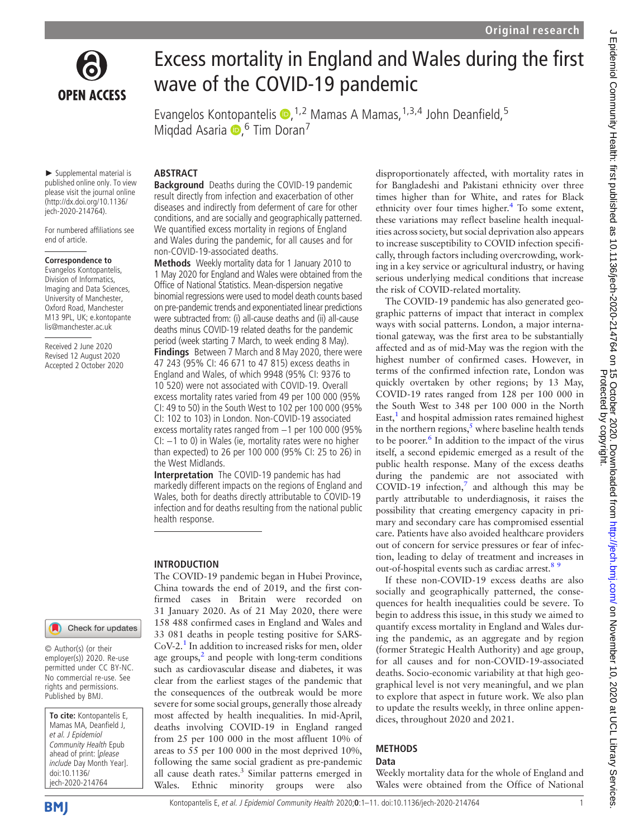

# Excess mortality in England and Wales during the first wave of the COVID-19 pandemic

Evangelos Kontopantelis (D, <sup>1,2</sup> Mamas A Mamas, <sup>1,3,4</sup> John Deanfield, <sup>5</sup> Miqdad Asaria D, <sup>6</sup> Tim Doran<sup>7</sup>

► Supplemental material is published online only. To view please visit the journal online ([http://dx.doi.org/10.1136/](http://dx.doi.org/10.1136/jech-2020-214764) [jech-2020-214764](http://dx.doi.org/10.1136/jech-2020-214764)).

**ABSTRACT** 

Background Deaths during the COVID-19 pandemic result directly from infection and exacerbation of other diseases and indirectly from deferment of care for other conditions, and are socially and geographically patterned. We quantified excess mortality in regions of England and Wales during the pandemic, for all causes and for

Methods Weekly mortality data for 1 January 2010 to 1 May 2020 for England and Wales were obtained from the Office of National Statistics. Mean-dispersion negative binomial regressions were used to model death counts based on pre-pandemic trends and exponentiated linear predictions were subtracted from: (i) all-cause deaths and (ii) all-cause deaths minus COVID-19 related deaths for the pandemic period (week starting 7 March, to week ending 8 May). Findings Between 7 March and 8 May 2020, there were 47 243 (95% CI: 46 671 to 47 815) excess deaths in England and Wales, of which 9948 (95% CI: 9376 to 10 520) were not associated with COVID-19. Overall excess mortality rates varied from 49 per 100 000 (95% CI: 49 to 50) in the South West to 102 per 100 000 (95% CI: 102 to 103) in London. Non-COVID-19 associated excess mortality rates ranged from −1 per 100 000 (95% CI: −1 to 0) in Wales (ie, mortality rates were no higher than expected) to 26 per 100 000 (95% CI: 25 to 26) in

Interpretation The COVID-19 pandemic has had markedly different impacts on the regions of England and Wales, both for deaths directly attributable to COVID-19 infection and for deaths resulting from the national public

The COVID-19 pandemic began in Hubei Province, China towards the end of 2019, and the first confirmed cases in Britain were recorded on 31 January 2020. As of 21 May 2020, there were 158 488 confirmed cases in England and Wales and 33 081 deaths in people testing positive for SARS- $CoV-2<sup>1</sup>$  In addition to increased risks for men, older age groups, $<sup>2</sup>$  and people with long-term conditions</sup> such as cardiovascular disease and diabetes, it was clear from the earliest stages of the pandemic that the consequences of the outbreak would be more severe for some social groups, generally those already most affected by health inequalities. In mid-April, deaths involving COVID-19 in England ranged from 25 per 100 000 in the most affluent 10% of areas to 55 per 100 000 in the most deprived 10%, following the same social gradient as pre-pandemic all cause death rates. $3 \text{ Similar patterns emerged in}$ Wales. Ethnic minority groups were also

non-COVID-19-associated deaths.

the West Midlands.

health response.

INTRODUCTION

For numbered affiliations see end of article.

## Correspondence to

Evangelos Kontopantelis, Division of Informatics, Imaging and Data Sciences, University of Manchester, Oxford Road, Manchester M13 9PL, UK; [e.kontopante](mailto:e.kontopantelis@manchester.ac.uk) [lis@manchester.ac.uk](mailto:e.kontopantelis@manchester.ac.uk)

Received 2 June 2020 Revised 12 August 2020 Accepted 2 October 2020

#### Check for updates

© Author(s) (or their employer(s)) 2020. Re-use permitted under CC BY-NC. No commercial re-use. See rights and permissions. Published by BMJ.

To cite: Kontopantelis E, Mamas MA, Deanfield J, et al. J Epidemiol Community Health Epub ahead of print: [please include Day Month Year]. doi:10.1136/ jech-2020-214764

# Kontopantelis E, et al. J Epidemiol Community Health 2020;0:1-11. doi:10.1136/jech-2020-214764 1999

disproportionately affected, with mortality rates in for Bangladeshi and Pakistani ethnicity over three times higher than for White, and rates for Black ethnicity over four times higher.<sup>[4](#page-9-2)</sup> To some extent, these variations may reflect baseline health inequalities across society, but social deprivation also appears to increase susceptibility to COVID infection specifically, through factors including overcrowding, working in a key service or agricultural industry, or having serious underlying medical conditions that increase the risk of COVID-related mortality.

The COVID-19 pandemic has also generated geographic patterns of impact that interact in complex ways with social patterns. London, a major international gateway, was the first area to be substantially affected and as of mid-May was the region with the highest number of confirmed cases. However, in terms of the confirmed infection rate, London was quickly overtaken by other regions; by 13 May, COVID-19 rates ranged from 128 per 100 000 in the South West to 348 per 100 000 in the North East, $<sup>1</sup>$  and hospital admission rates remained highest</sup> in the northern regions, $5$  where baseline health tends to be poorer.<sup>6</sup> In addition to the impact of the virus itself, a second epidemic emerged as a result of the public health response. Many of the excess deaths during the pandemic are not associated with COVID-19 infection, $7$  and although this may be partly attributable to underdiagnosis, it raises the possibility that creating emergency capacity in primary and secondary care has compromised essential care. Patients have also avoided healthcare providers out of concern for service pressures or fear of infection, leading to delay of treatment and increases in out-of-hospital events such as cardiac arrest.<sup>8</sup>

If these non-COVID-19 excess deaths are also socially and geographically patterned, the consequences for health inequalities could be severe. To begin to address this issue, in this study we aimed to quantify excess mortality in England and Wales during the pandemic, as an aggregate and by region (former Strategic Health Authority) and age group, for all causes and for non-COVID-19-associated deaths. Socio-economic variability at that high geographical level is not very meaningful, and we plan to explore that aspect in future work. We also plan to update the results weekly, in three online appendices, throughout 2020 and 2021.

### METHODS

Data

Weekly mortality data for the whole of England and Wales were obtained from the Office of National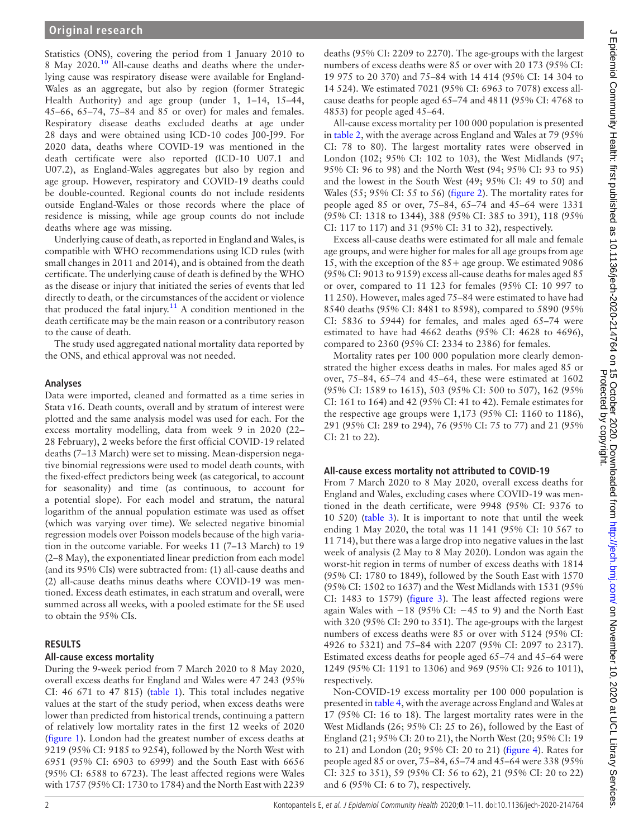Statistics (ONS), covering the period from 1 January 2010 to 8 May 2020[.10](#page-9-7) All-cause deaths and deaths where the underlying cause was respiratory disease were available for England-Wales as an aggregate, but also by region (former Strategic Health Authority) and age group (under 1, 1–14, 15–44, 45–66, 65–74, 75–84 and 85 or over) for males and females. Respiratory disease deaths excluded deaths at age under 28 days and were obtained using ICD-10 codes J00-J99. For 2020 data, deaths where COVID-19 was mentioned in the death certificate were also reported (ICD-10 U07.1 and U07.2), as England-Wales aggregates but also by region and age group. However, respiratory and COVID-19 deaths could be double-counted. Regional counts do not include residents outside England-Wales or those records where the place of residence is missing, while age group counts do not include deaths where age was missing.

Underlying cause of death, as reported in England and Wales, is compatible with WHO recommendations using ICD rules (with small changes in 2011 and 2014), and is obtained from the death certificate. The underlying cause of death is defined by the WHO as the disease or injury that initiated the series of events that led directly to death, or the circumstances of the accident or violence that produced the fatal injury.<sup>[11](#page-10-0)</sup> A condition mentioned in the death certificate may be the main reason or a contributory reason to the cause of death.

The study used aggregated national mortality data reported by the ONS, and ethical approval was not needed.

### Analyses

Data were imported, cleaned and formatted as a time series in Stata v16. Death counts, overall and by stratum of interest were plotted and the same analysis model was used for each. For the excess mortality modelling, data from week 9 in 2020 (22– 28 February), 2 weeks before the first official COVID-19 related deaths (7–13 March) were set to missing. Mean-dispersion negative binomial regressions were used to model death counts, with the fixed-effect predictors being week (as categorical, to account for seasonality) and time (as continuous, to account for a potential slope). For each model and stratum, the natural logarithm of the annual population estimate was used as offset (which was varying over time). We selected negative binomial regression models over Poisson models because of the high variation in the outcome variable. For weeks 11 (7–13 March) to 19 (2–8 May), the exponentiated linear prediction from each model (and its 95% CIs) were subtracted from: (1) all-cause deaths and (2) all-cause deaths minus deaths where COVID-19 was mentioned. Excess death estimates, in each stratum and overall, were summed across all weeks, with a pooled estimate for the SE used to obtain the 95% CIs.

## RESULTS

## All-cause excess mortality

During the 9-week period from 7 March 2020 to 8 May 2020, overall excess deaths for England and Wales were 47 243 (95% CI: 46 671 to 47 815) [\(table 1\)](#page-2-0). This total includes negative values at the start of the study period, when excess deaths were lower than predicted from historical trends, continuing a pattern of relatively low mortality rates in the first 12 weeks of 2020 ([figure 1](#page-3-0)). London had the greatest number of excess deaths at 9219 (95% CI: 9185 to 9254), followed by the North West with 6951 (95% CI: 6903 to 6999) and the South East with 6656 (95% CI: 6588 to 6723). The least affected regions were Wales with 1757 (95% CI: 1730 to 1784) and the North East with 2239

deaths (95% CI: 2209 to 2270). The age-groups with the largest numbers of excess deaths were 85 or over with 20 173 (95% CI: 19 975 to 20 370) and 75–84 with 14 414 (95% CI: 14 304 to 14 524). We estimated 7021 (95% CI: 6963 to 7078) excess allcause deaths for people aged 65–74 and 4811 (95% CI: 4768 to 4853) for people aged 45–64.

All-cause excess mortality per 100 000 population is presented in [table 2,](#page-4-0) with the average across England and Wales at 79 (95% CI: 78 to 80). The largest mortality rates were observed in London (102; 95% CI: 102 to 103), the West Midlands (97; 95% CI: 96 to 98) and the North West (94; 95% CI: 93 to 95) and the lowest in the South West (49; 95% CI: 49 to 50) and Wales (55; 95% CI: 55 to 56) [\(figure 2](#page-5-0)). The mortality rates for people aged 85 or over, 75–84, 65–74 and 45–64 were 1331 (95% CI: 1318 to 1344), 388 (95% CI: 385 to 391), 118 (95% CI: 117 to 117) and 31 (95% CI: 31 to 32), respectively.

Excess all-cause deaths were estimated for all male and female age groups, and were higher for males for all age groups from age 15, with the exception of the 85+ age group. We estimated 9086 (95% CI: 9013 to 9159) excess all-cause deaths for males aged 85 or over, compared to 11 123 for females (95% CI: 10 997 to 11 250). However, males aged 75–84 were estimated to have had 8540 deaths (95% CI: 8481 to 8598), compared to 5890 (95% CI: 5836 to 5944) for females, and males aged 65–74 were estimated to have had 4662 deaths (95% CI: 4628 to 4696), compared to 2360 (95% CI: 2334 to 2386) for females.

Mortality rates per 100 000 population more clearly demonstrated the higher excess deaths in males. For males aged 85 or over, 75–84, 65–74 and 45–64, these were estimated at 1602 (95% CI: 1589 to 1615), 503 (95% CI: 500 to 507), 162 (95% CI: 161 to 164) and 42 (95% CI: 41 to 42). Female estimates for the respective age groups were 1,173 (95% CI: 1160 to 1186), 291 (95% CI: 289 to 294), 76 (95% CI: 75 to 77) and 21 (95% CI: 21 to 22).

## All-cause excess mortality not attributed to COVID-19

From 7 March 2020 to 8 May 2020, overall excess deaths for England and Wales, excluding cases where COVID-19 was mentioned in the death certificate, were 9948 (95% CI: 9376 to 10 520) [\(table 3\)](#page-6-0). It is important to note that until the week ending 1 May 2020, the total was 11 141 (95% CI: 10 567 to 11 714), but there was a large drop into negative values in the last week of analysis (2 May to 8 May 2020). London was again the worst-hit region in terms of number of excess deaths with 1814 (95% CI: 1780 to 1849), followed by the South East with 1570 (95% CI: 1502 to 1637) and the West Midlands with 1531 (95% CI: 1483 to 1579) [\(figure 3](#page-8-0)). The least affected regions were again Wales with  $-18$  (95% CI:  $-45$  to 9) and the North East with 320 (95% CI: 290 to 351). The age-groups with the largest numbers of excess deaths were 85 or over with 5124 (95% CI: 4926 to 5321) and 75–84 with 2207 (95% CI: 2097 to 2317). Estimated excess deaths for people aged 65–74 and 45–64 were 1249 (95% CI: 1191 to 1306) and 969 (95% CI: 926 to 1011), respectively.

Non-COVID-19 excess mortality per 100 000 population is presented in [table 4](#page-7-0), with the average across England and Wales at 17 (95% CI: 16 to 18). The largest mortality rates were in the West Midlands (26; 95% CI: 25 to 26), followed by the East of England (21; 95% CI: 20 to 21), the North West (20; 95% CI: 19 to 21) and London (20; 95% CI: 20 to 21) [\(figure 4\)](#page-8-1). Rates for people aged 85 or over, 75–84, 65–74 and 45–64 were 338 (95% CI: 325 to 351), 59 (95% CI: 56 to 62), 21 (95% CI: 20 to 22) and 6 (95% CI: 6 to 7), respectively.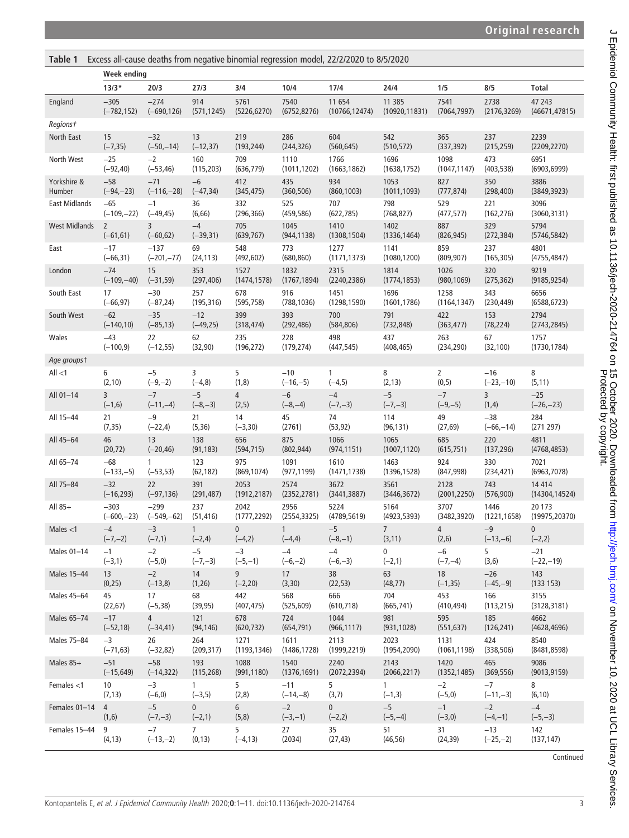<span id="page-2-0"></span>

| Excess all-cause deaths from negative binomial regression model, 22/2/2020 to 8/5/2020<br>Table 1 |                |               |                 |                |              |                |                |              |              |                |  |
|---------------------------------------------------------------------------------------------------|----------------|---------------|-----------------|----------------|--------------|----------------|----------------|--------------|--------------|----------------|--|
|                                                                                                   | Week ending    |               |                 |                |              |                |                |              |              |                |  |
|                                                                                                   | $13/3*$        | 20/3          | 27/3            | 3/4            | 10/4         | 17/4           | 24/4           | 1/5          | 8/5          | <b>Total</b>   |  |
| England                                                                                           | $-305$         | $-274$        | 914             | 5761           | 7540         | 11 654         | 11 385         | 7541         | 2738         | 47 243         |  |
|                                                                                                   | $(-782, 152)$  | $(-690, 126)$ | (571, 1245)     | (5226, 6270)   | (6752, 8276) | (10766, 12474) | (10920, 11831) | (7064, 7997) | (2176, 3269) | (46671, 47815) |  |
| Regionst                                                                                          |                |               |                 |                |              |                |                |              |              |                |  |
| North East                                                                                        | 15             | $-32$         | 13              | 219            | 286          | 604            | 542            | 365          | 237          | 2239           |  |
|                                                                                                   | $(-7, 35)$     | $(-50,-14)$   | $(-12, 37)$     | (193, 244)     | (244, 326)   | (560, 645)     | (510, 572)     | (337, 392)   | (215, 259)   | (2209, 2270)   |  |
| North West                                                                                        | $-25$          | $-2$          | 160             | 709            | 1110         | 1766           | 1696           | 1098         | 473          | 6951           |  |
|                                                                                                   | $(-92, 40)$    | $(-53, 46)$   | (115, 203)      | (636, 779)     | (1011, 1202) | (1663, 1862)   | (1638, 1752)   | (1047, 1147) | (403, 538)   | (6903, 6999)   |  |
| Yorkshire &                                                                                       | $-58$          | $-71$         | $-6$            | 412            | 435          | 934            | 1053           | 827          | 350          | 3886           |  |
| Humber                                                                                            | $(-94,-23)$    | $(-116,-28)$  | $(-47, 34)$     | (345, 475)     | (360, 506)   | (860, 1003)    | (1011, 1093)   | (777, 874)   | (298, 400)   | (3849, 3923)   |  |
| <b>East Midlands</b>                                                                              | $-65$          | $-1$          | 36              | 332            | 525          | 707            | 798            | 529          | 221          | 3096           |  |
|                                                                                                   | $(-109,-22)$   | $(-49, 45)$   | (6, 66)         | (296, 366)     | (459, 586)   | (622, 785)     | (768, 827)     | (477, 577)   | (162, 276)   | (3060, 3131)   |  |
| <b>West Midlands</b>                                                                              | $\overline{2}$ | 3             | $-4$            | 705            | 1045         | 1410           | 1402           | 887          | 329          | 5794           |  |
|                                                                                                   | $(-61, 61)$    | $(-60, 62)$   | $(-39, 31)$     | (639, 767)     | (944, 1138)  | (1308, 1504)   | (1336, 1464)   | (826, 945)   | (272, 384)   | (5746, 5842)   |  |
| East                                                                                              | $-17$          | $-137$        | 69              | 548            | 773          | 1277           | 1141           | 859          | 237          | 4801           |  |
|                                                                                                   | $(-66, 31)$    | $(-201,-77)$  | (24, 113)       | (492, 602)     | (680, 860)   | (1171, 1373)   | (1080, 1200)   | (809, 907)   | (165, 305)   | (4755, 4847)   |  |
| London                                                                                            | $-74$          | 15            | 353             | 1527           | 1832         | 2315           | 1814           | 1026         | 320          | 9219           |  |
|                                                                                                   | $(-109,-40)$   | $(-31, 59)$   | (297, 406)      | (1474, 1578)   | (1767, 1894) | (2240, 2386)   | (1774, 1853)   | (980, 1069)  | (275, 362)   | (9185, 9254)   |  |
| South East                                                                                        | 17             | $-30$         | 257             | 678            | 916          | 1451           | 1696           | 1258         | 343          | 6656           |  |
|                                                                                                   | $(-66, 97)$    | $(-87, 24)$   | (195, 316)      | (595, 758)     | (788, 1036)  | (1298, 1590)   | (1601, 1786)   | (1164, 1347) | (230, 449)   | (6588, 6723)   |  |
| South West                                                                                        | $-62$          | $-35$         | $-12$           | 399            | 393          | 700            | 791            | 422          | 153          | 2794           |  |
|                                                                                                   | $(-140,10)$    | $(-85, 13)$   | $(-49, 25)$     | (318, 474)     | (292, 486)   | (584, 806)     | (732, 848)     | (363, 477)   | (78, 224)    | (2743, 2845)   |  |
| Wales                                                                                             | $-43$          | 22            | 62              | 235            | 228          | 498            | 437            | 263          | 67           | 1757           |  |
|                                                                                                   | $(-100, 9)$    | $(-12, 55)$   | (32, 90)        | (196, 272)     | (179, 274)   | (447, 545)     | (408, 465)     | (234, 290)   | (32, 100)    | (1730, 1784)   |  |
| Age groupst                                                                                       |                |               |                 |                |              |                |                |              |              |                |  |
| All < 1                                                                                           | 6              | $-5$          | 3               | 5              | $-10$        | 1              | 8              | 2            | $-16$        | 8              |  |
|                                                                                                   | (2, 10)        | $(-9,-2)$     | $(-4, 8)$       | (1, 8)         | $(-16,-5)$   | $(-4, 5)$      | (2, 13)        | (0, 5)       | $(-23,-10)$  | (5, 11)        |  |
| All 01-14                                                                                         | 3              | $-7$          | $-5$            | $\overline{4}$ | $-6$         | $-4$           | $-5$           | $-7$         | 3            | $-25$          |  |
|                                                                                                   | $(-1,6)$       | $(-11,-4)$    | $(-8,-3)$       | (2, 5)         | $(-8,-4)$    | $(-7,-3)$      | $(-7,-3)$      | $(-9,-5)$    | (1, 4)       | $(-26,-23)$    |  |
| All 15-44                                                                                         | 21             | $-9$          | 21              | 14             | 45           | 74             | 114            | 49           | $-38$        | 284            |  |
|                                                                                                   | (7, 35)        | $(-22, 4)$    | (5, 36)         | $(-3, 30)$     | (2761)       | (53, 92)       | (96, 131)      | (27, 69)     | $(-66,-14)$  | (271 297)      |  |
| All 45-64                                                                                         | 46             | 13            | 138             | 656            | 875          | 1066           | 1065           | 685          | 220          | 4811           |  |
|                                                                                                   | (20, 72)       | $(-20, 46)$   | (91, 183)       | (594, 715)     | (802, 944)   | (974, 1151)    | (1007, 1120)   | (615, 751)   | (137, 296)   | (4768, 4853)   |  |
| All 65-74                                                                                         | $-68$          | 1             | 123             | 975            | 1091         | 1610           | 1463           | 924          | 330          | 7021           |  |
|                                                                                                   | $(-133,-5)$    | $(-53, 53)$   | (62, 182)       | (869, 1074)    | (977, 1199)  | (1471, 1738)   | (1396, 1528)   | (847, 998)   | (234, 421)   | (6963, 7078)   |  |
| All 75-84                                                                                         | $-32$          | 22            | 391             | 2053           | 2574         | 3672           | 3561           | 2128         | 743          | 14 4 14        |  |
|                                                                                                   | $(-16, 293)$   | $(-97, 136)$  | (291, 487)      | (1912, 2187)   | (2352, 2781) | (3441, 3887)   | (3446, 3672)   | (2001, 2250) | (576, 900)   | (14304, 14524) |  |
| All 85+                                                                                           | $-303$         | $-299$        | 237             | 2042           | 2956         | 5224           | 5164           | 3707         | 1446         | 20 173         |  |
|                                                                                                   | $(-600,-23)$   | $(-549,-62)$  | (51, 416)       | (1777, 2292)   | (2554, 3325) | (4789, 5619)   | (4923, 5393)   | (3482, 3920) | (1221, 1658) | (19975, 20370) |  |
| Males $<$ 1                                                                                       | $-4$           | $-3$          | $\mathbf{1}$    | $\mathbf 0$    | 1            | $-5$           | 7 <sup>7</sup> | 4            | $-9$         | $\mathbf 0$    |  |
|                                                                                                   | $(-7,-2)$      | $(-7,1)$      | $(-2, 4)$       | $(-4,2)$       | $(-4, 4)$    | $(-8,-1)$      | (3, 11)        | (2, 6)       | $(-13,-6)$   | $(-2, 2)$      |  |
| Males 01-14                                                                                       | $-1$           | $-2$          | $-5$            | $-3$           | $-4$         | $-4$           | 0              | $-6$         | 5            | $-21$          |  |
|                                                                                                   | $(-3,1)$       | $(-5,0)$      | $(-7,-3)$       | $(-5,-1)$      | $(-6,-2)$    | $(-6,-3)$      | $(-2,1)$       | $(-7,-4)$    | (3,6)        | $(-22,-19)$    |  |
| Males 15-44                                                                                       | 13             | $-2$          | 14              | 9 <sup>1</sup> | 17           | 38             | 63             | 18           | $-26$        | 143            |  |
|                                                                                                   | (0, 25)        | $(-13, 8)$    | (1, 26)         | $(-2, 20)$     | (3,30)       | (22, 53)       | (48, 77)       | $(-1, 35)$   | $(-45,-9)$   | (133 153)      |  |
| Males 45-64                                                                                       | 45             | 17            | 68              | 442            | 568          | 666            | 704            | 453          | 166          | 3155           |  |
|                                                                                                   | (22, 67)       | $(-5, 38)$    | (39, 95)        | (407, 475)     | (525, 609)   | (610, 718)     | (665, 741)     | (410, 494)   | (113, 215)   | (3128, 3181)   |  |
| Males 65-74                                                                                       | $-17$          | 4             | 121             | 678            | 724          | 1044           | 981            | 595          | 185          | 4662           |  |
|                                                                                                   | $(-52, 18)$    | $(-34, 41)$   | (94, 146)       | (620, 732)     | (654, 791)   | (966, 1117)    | (931, 1028)    | (551, 637)   | (126, 241)   | (4628, 4696)   |  |
| Males 75-84                                                                                       | $-3$           | 26            | 264             | 1271           | 1611         | 2113           | 2023           | 1131         | 424          | 8540           |  |
|                                                                                                   | $(-71, 63)$    | $(-32, 82)$   | (209, 317)      | (1193, 1346)   | (1486, 1728) | (1999, 2219)   | (1954, 2090)   | (1061, 1198) | (338, 506)   | (8481, 8598)   |  |
| Males 85+                                                                                         | $-51$          | $-58$         | 193             | 1088           | 1540         | 2240           | 2143           | 1420         | 465          | 9086           |  |
|                                                                                                   | $(-15, 649)$   | $(-14, 322)$  | (115, 268)      | (991, 1180)    | (1376, 1691) | (2072, 2394)   | (2066, 2217)   | (1352, 1485) | (369, 556)   | (9013, 9159)   |  |
| Females $<$ 1                                                                                     | 10             | $-3$          | $\mathbf{1}$    | 5              | $-11$        | 5              | $\mathbf{1}$   | $-2$         | $-7$         | 8              |  |
|                                                                                                   | (7, 13)        | $(-6, 0)$     | $(-3, 5)$       | (2, 8)         | $(-14,-8)$   | (3,7)          | $(-1,3)$       | $(-5,0)$     | $(-11,-3)$   | (6, 10)        |  |
| Females 01-14                                                                                     | $\overline{4}$ | $-5$          | 0               | 6 <sup>1</sup> | $-2$         | $\overline{0}$ | $-5$           | $-1$         | $-2$         | $-4$           |  |
|                                                                                                   | (1,6)          | $(-7,-3)$     | $(-2,1)$        | (5, 8)         | $(-3,-1)$    | $(-2,2)$       | $(-5,-4)$      | $(-3,0)$     | $(-4,-1)$    | $(-5,-3)$      |  |
| Females 15-44                                                                                     | 9              | $-7$          | $7\overline{ }$ | 5              | 27           | 35             | 51             | 31           | $-13$        | 142            |  |
|                                                                                                   | (4, 13)        | $(-13,-2)$    | (0, 13)         | $(-4, 13)$     | (2034)       | (27, 43)       | (46, 56)       | (24, 39)     | $(-25,-2)$   | (137, 147)     |  |
|                                                                                                   |                |               |                 |                |              |                |                |              |              | Continued      |  |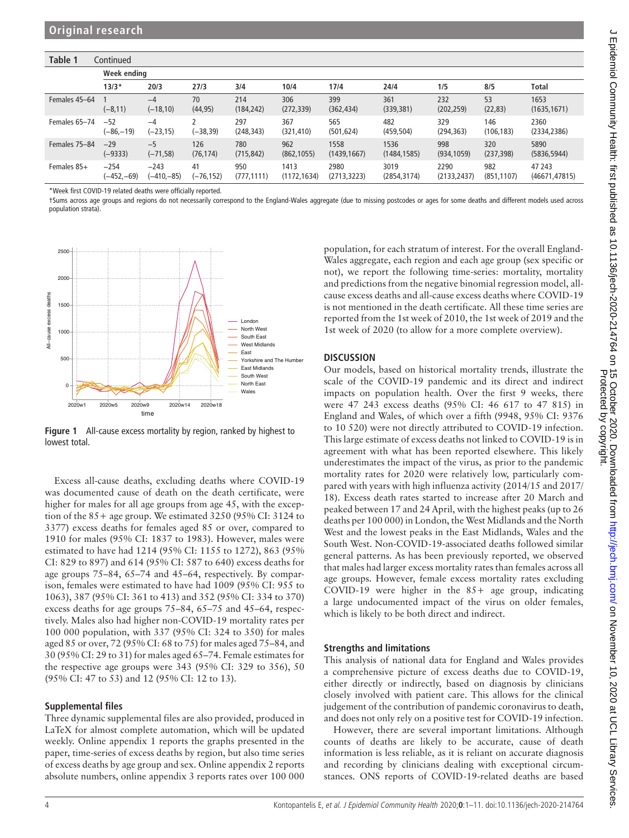| Table 1<br>Continued |                      |                        |                  |                    |                      |                      |                      |                      |                    |                          |  |  |  |  |
|----------------------|----------------------|------------------------|------------------|--------------------|----------------------|----------------------|----------------------|----------------------|--------------------|--------------------------|--|--|--|--|
|                      |                      | Week ending            |                  |                    |                      |                      |                      |                      |                    |                          |  |  |  |  |
|                      | $13/3*$              | 20/3                   | 27/3             | 3/4                | 10/4                 | 17/4                 | 24/4                 | 1/5                  | 8/5                | Total                    |  |  |  |  |
| Females 45-64        | $(-8, 11)$           | $-4$<br>$(-18,10)$     | 70<br>(44, 95)   | 214<br>(184, 242)  | 306<br>(272, 339)    | 399<br>(362, 434)    | 361<br>(339, 381)    | 232<br>(202, 259)    | 53<br>(22, 83)     | 1653<br>(1635, 1671)     |  |  |  |  |
| Females 65-74        | $-52$<br>$(-86,-19)$ | $-4$<br>$(-23, 15)$    | $(-38, 39)$      | 297<br>(248, 343)  | 367<br>(321, 410)    | 565<br>(501, 624)    | 482<br>(459, 504)    | 329<br>(294, 363)    | 146<br>(106, 183)  | 2360<br>(2334, 2386)     |  |  |  |  |
| Females 75-84        | $-29$<br>$(-9333)$   | $-5$<br>$(-71, 58)$    | 126<br>(76, 174) | 780<br>(715, 842)  | 962<br>(862, 1055)   | 1558<br>(1439, 1667) | 1536<br>(1484, 1585) | 998<br>(934, 1059)   | 320<br>(237, 398)  | 5890<br>(5836, 5944)     |  |  |  |  |
| Females 85+          | $-254$<br>(–452,–69) | $-243$<br>$(-410,-85)$ | 41<br>(–76,152)  | 950<br>(777, 1111) | 1413<br>(1172, 1634) | 2980<br>(2713, 3223) | 3019<br>(2854, 3174) | 2290<br>(2133, 2437) | 982<br>(851, 1107) | 47 243<br>(46671, 47815) |  |  |  |  |

\*Week first COVID-19 related deaths were officially reported.

†Sums across age groups and regions do not necessarily correspond to the England-Wales aggregate (due to missing postcodes or ages for some deaths and different models used across population strata).

<span id="page-3-0"></span>

Figure 1 All-cause excess mortality by region, ranked by highest to lowest total.

Excess all-cause deaths, excluding deaths where COVID-19 was documented cause of death on the death certificate, were higher for males for all age groups from age 45, with the exception of the  $85+$  age group. We estimated 3250 (95% CI: 3124 to 3377) excess deaths for females aged 85 or over, compared to 1910 for males (95% CI: 1837 to 1983). However, males were estimated to have had 1214 (95% CI: 1155 to 1272), 863 (95% CI: 829 to 897) and 614 (95% CI: 587 to 640) excess deaths for age groups 75–84, 65–74 and 45–64, respectively. By comparison, females were estimated to have had 1009 (95% CI: 955 to 1063), 387 (95% CI: 361 to 413) and 352 (95% CI: 334 to 370) excess deaths for age groups 75–84, 65–75 and 45–64, respectively. Males also had higher non-COVID-19 mortality rates per 100 000 population, with 337 (95% CI: 324 to 350) for males aged 85 or over, 72 (95% CI: 68 to 75) for males aged 75–84, and 30 (95% CI: 29 to 31) for males aged 65–74. Female estimates for the respective age groups were 343 (95% CI: 329 to 356), 50 (95% CI: 47 to 53) and 12 (95% CI: 12 to 13).

## Supplemental files

Three dynamic supplemental files are also provided, produced in LaTeX for almost complete automation, which will be updated weekly. [Online appendix 1](https://dx.doi.org/10.1136/jech-2020-214764) reports the graphs presented in the paper, time-series of excess deaths by region, but also time series of excess deaths by age group and sex. [Online appendix 2](https://dx.doi.org/10.1136/jech-2020-214764) reports absolute numbers, [online appendix 3](https://dx.doi.org/10.1136/jech-2020-214764) reports rates over 100 000

population, for each stratum of interest. For the overall England-Wales aggregate, each region and each age group (sex specific or not), we report the following time-series: mortality, mortality and predictions from the negative binomial regression model, allcause excess deaths and all-cause excess deaths where COVID-19 is not mentioned in the death certificate. All these time series are reported from the 1st week of 2010, the 1st week of 2019 and the 1st week of 2020 (to allow for a more complete overview).

## **DISCUSSION**

Our models, based on historical mortality trends, illustrate the scale of the COVID-19 pandemic and its direct and indirect impacts on population health. Over the first 9 weeks, there were 47 243 excess deaths (95% CI: 46 617 to 47 815) in England and Wales, of which over a fifth (9948, 95% CI: 9376 to 10 520) were not directly attributed to COVID-19 infection. This large estimate of excess deaths not linked to COVID-19 is in agreement with what has been reported elsewhere. This likely underestimates the impact of the virus, as prior to the pandemic mortality rates for 2020 were relatively low, particularly compared with years with high influenza activity (2014/15 and 2017/ 18). Excess death rates started to increase after 20 March and peaked between 17 and 24 April, with the highest peaks (up to 26 deaths per 100 000) in London, the West Midlands and the North West and the lowest peaks in the East Midlands, Wales and the South West. Non-COVID-19-associated deaths followed similar general patterns. As has been previously reported, we observed that males had larger excess mortality rates than females across all age groups. However, female excess mortality rates excluding COVID-19 were higher in the  $85+$  age group, indicating a large undocumented impact of the virus on older females, which is likely to be both direct and indirect.

## Strengths and limitations

This analysis of national data for England and Wales provides a comprehensive picture of excess deaths due to COVID-19, either directly or indirectly, based on diagnosis by clinicians closely involved with patient care. This allows for the clinical judgement of the contribution of pandemic coronavirus to death, and does not only rely on a positive test for COVID-19 infection.

However, there are several important limitations. Although counts of deaths are likely to be accurate, cause of death information is less reliable, as it is reliant on accurate diagnosis and recording by clinicians dealing with exceptional circumstances. ONS reports of COVID-19-related deaths are based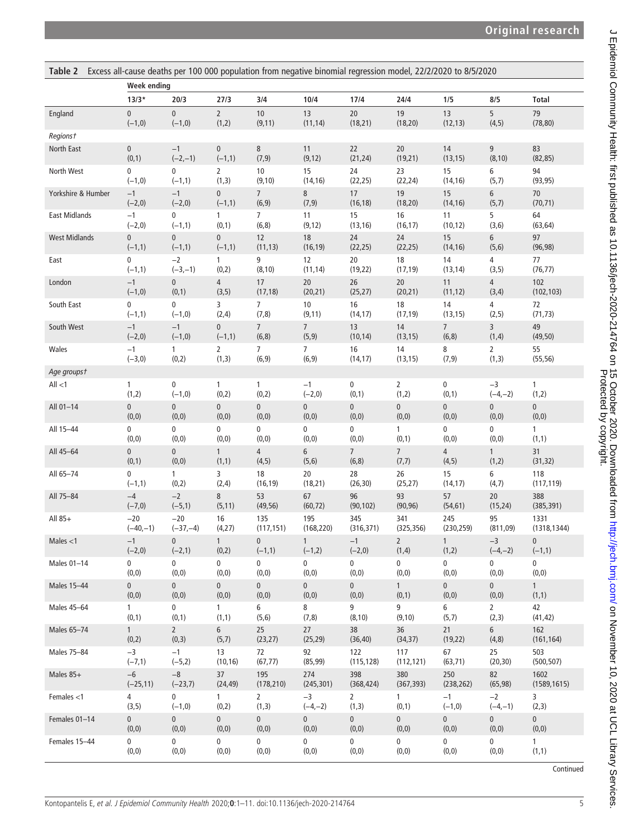<span id="page-4-0"></span>

| Table 2 Excess all-cause deaths per 100 000 population from negative binomial regression model, 22/2/2020 to 8/5/2020 |                    |              |                |                 |                 |                |                |                |                |                |
|-----------------------------------------------------------------------------------------------------------------------|--------------------|--------------|----------------|-----------------|-----------------|----------------|----------------|----------------|----------------|----------------|
|                                                                                                                       | <b>Week ending</b> |              |                |                 |                 |                |                |                |                |                |
|                                                                                                                       | $13/3*$            | 20/3         | 27/3           | 3/4             | 10/4            | 17/4           | 24/4           | 1/5            | 8/5            | <b>Total</b>   |
| England                                                                                                               | $\pmb{0}$          | $\mathbf{0}$ | $\overline{2}$ | 10              | 13              | 20             | 19             | 13             | 5              | 79             |
|                                                                                                                       | $(-1,0)$           | $(-1,0)$     | (1, 2)         | (9, 11)         | (11, 14)        | (18, 21)       | (18, 20)       | (12, 13)       | (4, 5)         | (78, 80)       |
| Regionst                                                                                                              |                    |              |                |                 |                 |                |                |                |                |                |
| North East                                                                                                            | $\pmb{0}$          | $-1$         | $\mathbf{0}$   | $\,8\,$         | 11              | 22             | 20             | 14             | 9              | 83             |
|                                                                                                                       | (0,1)              | $(-2,-1)$    | $(-1,1)$       | (7, 9)          | (9, 12)         | (21, 24)       | (19, 21)       | (13, 15)       | (8, 10)        | (82, 85)       |
| North West                                                                                                            | 0                  | $\mathbf 0$  | $\overline{2}$ | 10              | 15              | 24             | 23             | 15             | 6              | 94             |
|                                                                                                                       | $(-1,0)$           | $(-1,1)$     | (1, 3)         | (9, 10)         | (14, 16)        | (22, 25)       | (22, 24)       | (14, 16)       | (5,7)          | (93, 95)       |
| Yorkshire & Humber                                                                                                    | $-1$               | $-1$         | 0              | $\overline{7}$  | 8               | 17             | 19             | 15             | 6              | $70\,$         |
|                                                                                                                       | $(-2,0)$           | $(-2,0)$     | $(-1,1)$       | (6, 9)          | (7, 9)          | (16, 18)       | (18, 20)       | (14, 16)       | (5,7)          | (70, 71)       |
| <b>East Midlands</b>                                                                                                  | $-1$               | $\mathbf 0$  | $\mathbf{1}$   | 7               | 11              | 15             | 16             | 11             | 5              | 64             |
|                                                                                                                       | $(-2,0)$           | $(-1,1)$     | (0,1)          | (6, 8)          | (9, 12)         | (13, 16)       | (16, 17)       | (10, 12)       | (3, 6)         | (63, 64)       |
| <b>West Midlands</b>                                                                                                  | 0                  | 0            | 0              | 12              | 18              | 24             | 24             | 15             | 6              | 97             |
|                                                                                                                       | $(-1,1)$           | $(-1,1)$     | $(-1,1)$       | (11, 13)        | (16, 19)        | (22, 25)       | (22, 25)       | (14, 16)       | (5, 6)         | (96, 98)       |
| East                                                                                                                  | 0                  | $-2$         | $\mathbf{1}$   | 9               | 12              | $20\,$         | 18             | 14             | 4              | 77             |
|                                                                                                                       | $(-1,1)$           | $(-3,-1)$    | (0, 2)         | (8, 10)         | (11, 14)        | (19, 22)       | (17, 19)       | (13, 14)       | (3, 5)         | (76, 77)       |
| London                                                                                                                | $-1$               | $\pmb{0}$    | $\overline{4}$ | 17              | 20              | 26             | 20             | 11             | $\overline{4}$ | 102            |
|                                                                                                                       | $(-1,0)$           | (0,1)        | (3, 5)         | (17, 18)        | (20, 21)        | (25, 27)       | (20, 21)       | (11, 12)       | (3,4)          | (102, 103)     |
| South East                                                                                                            | 0                  | $\mathbf 0$  | 3              | 7               | 10              | 16             | 18             | 14             | 4              | 72             |
|                                                                                                                       | $(-1,1)$           | $(-1,0)$     | (2, 4)         | (7, 8)          | (9, 11)         | (14, 17)       | (17, 19)       | (13, 15)       | (2, 5)         | (71, 73)       |
| South West                                                                                                            | $-1$               | $-1$         | $\pmb{0}$      | $7\overline{ }$ | $7\overline{ }$ | 13             | 14             | $\overline{7}$ | 3              | 49             |
|                                                                                                                       | $(-2,0)$           | $(-1,0)$     | $(-1,1)$       | (6, 8)          | (5, 9)          | (10, 14)       | (13, 15)       | (6, 8)         | (1, 4)         | (49, 50)       |
| Wales                                                                                                                 | $-1$               | 1            | $\overline{2}$ | 7               | $\overline{7}$  | 16             | 14             | 8              | $\overline{2}$ | 55             |
|                                                                                                                       | $(-3,0)$           | (0,2)        | (1, 3)         | (6, 9)          | (6, 9)          | (14, 17)       | (13, 15)       | (7, 9)         | (1, 3)         | (55, 56)       |
| Age groupst                                                                                                           |                    |              |                |                 |                 |                |                |                |                |                |
| All $<$ 1                                                                                                             | 1                  | 0            | $\mathbf{1}$   | 1               | $-1$            | $\pmb{0}$      | $\overline{2}$ | 0              | $-3$           | 1              |
|                                                                                                                       | (1,2)              | $(-1,0)$     | (0, 2)         | (0, 2)          | $(-2,0)$        | (0,1)          | (1,2)          | (0,1)          | $(-4,-2)$      | (1,2)          |
| All 01-14                                                                                                             | $\pmb{0}$          | $\mathbf 0$  | 0              | $\mathbf 0$     | 0               | $\pmb{0}$      | $\overline{0}$ | $\pmb{0}$      | $\mathbf 0$    | $\overline{0}$ |
|                                                                                                                       | (0, 0)             | (0, 0)       | (0,0)          | (0, 0)          | (0, 0)          | (0, 0)         | (0, 0)         | (0, 0)         | (0, 0)         | (0, 0)         |
| All 15-44                                                                                                             | 0                  | $\mathbf 0$  | 0              | 0               | 0               | $\pmb{0}$      | $\mathbf{1}$   | 0              | 0              | $\mathbf{1}$   |
|                                                                                                                       | (0, 0)             | (0, 0)       | (0, 0)         | (0, 0)          | (0, 0)          | (0, 0)         | (0,1)          | (0, 0)         | (0, 0)         | (1,1)          |
| All 45-64                                                                                                             | $\pmb{0}$          | 0            | $\mathbf{1}$   | 4               | 6               | 7 <sup>7</sup> | 7 <sup>7</sup> | $\overline{4}$ | $\mathbf{1}$   | 31             |
|                                                                                                                       | (0,1)              | (0, 0)       | (1,1)          | (4, 5)          | (5, 6)          | (6, 8)         | (7,7)          | (4, 5)         | (1,2)          | (31, 32)       |
| All 65-74                                                                                                             | 0                  | $\mathbf{1}$ | 3              | 18              | 20              | 28             | 26             | 15             | 6              | 118            |
|                                                                                                                       | $(-1,1)$           | (0,2)        | (2,4)          | (16, 19)        | (18, 21)        | (26, 30)       | (25, 27)       | (14, 17)       | (4,7)          | (117, 119)     |
| All 75-84                                                                                                             | $-4$               | $-2$         | 8              | 53              | 67              | 96             | 93             | 57             | 20             | 388            |
|                                                                                                                       | $(-7,0)$           | $(-5, 1)$    | (5, 11)        | (49, 56)        | (60, 72)        | (90, 102)      | (90, 96)       | (54, 61)       | (15, 24)       | (385, 391)     |
| All 85+                                                                                                               | $-20$              | $-20$        | 16             | 135             | 195             | 345            | 341            | 245            | 95             | 1331           |
|                                                                                                                       | $(-40,-1)$         | $(-37,-4)$   | (4,27)         | (117, 151)      | (168, 220)      | (316, 371)     | (325, 356)     | (230, 259)     | (811,09)       | (1318, 1344)   |
| Males $<$ 1                                                                                                           | $-1$               | $\mathbf{0}$ | $\mathbf{1}$   | $\mathbf{0}$    | $\mathbf{1}$    | $-1$           | $\overline{2}$ | $\mathbf{1}$   | $-3$           | $\mathbf{0}$   |
|                                                                                                                       | $(-2,0)$           | $(-2,1)$     | (0, 2)         | $(-1,1)$        | $(-1,2)$        | $(-2,0)$       | (1,4)          | (1, 2)         | $(-4,-2)$      | $(-1,1)$       |
| Males 01-14                                                                                                           | 0                  | $\mathbf 0$  | $\mathbf 0$    | 0               | 0               | $\mathbf 0$    | $\mathbf 0$    | $\mathbf 0$    | $\mathbf 0$    | $\mathbf 0$    |
|                                                                                                                       | (0, 0)             | (0, 0)       | (0, 0)         | (0, 0)          | (0, 0)          | (0, 0)         | (0, 0)         | (0, 0)         | (0, 0)         | (0, 0)         |
| Males 15-44                                                                                                           | $\mathbf 0$        | $\mathbf{0}$ | $\mathbf{0}$   | $\overline{0}$  | $\mathbf{0}$    | $\mathbf 0$    | 1              | $\mathbf{0}$   | $\mathbf{0}$   | 1              |
|                                                                                                                       | (0, 0)             | (0, 0)       | (0, 0)         | (0, 0)          | (0, 0)          | (0, 0)         | (0,1)          | (0, 0)         | (0, 0)         | (1,1)          |
| Males 45-64                                                                                                           | $\mathbf{1}$       | $\mathbf 0$  | 1              | 6               | 8               | 9              | 9              | 6              | $2^{1}$        | 42             |
|                                                                                                                       | (0,1)              | (0,1)        | (1,1)          | (5, 6)          | (7, 8)          | (8, 10)        | (9, 10)        | (5,7)          | (2, 3)         | (41, 42)       |
| Males 65-74                                                                                                           | 1                  | $2^{\circ}$  | 6              | 25              | 27              | 38             | 36             | 21             | 6              | 162            |
|                                                                                                                       | (0, 2)             | (0, 3)       | (5,7)          | (23, 27)        | (25, 29)        | (36, 40)       | (34, 37)       | (19, 22)       | (4, 8)         | (161, 164)     |
| Males 75-84                                                                                                           | $-3$               | $-1$         | 13             | 72              | 92              | 122            | 117            | 67             | 25             | 503            |
|                                                                                                                       | $(-7,1)$           | $(-5,2)$     | (10, 16)       | (67, 77)        | (85, 99)        | (115, 128)     | (112, 121)     | (63, 71)       | (20, 30)       | (500, 507)     |
| Males 85+                                                                                                             | $-6$               | $-8$         | 37             | 195             | 274             | 398            | 380            | 250            | 82             | 1602           |
|                                                                                                                       | $(-25, 11)$        | $(-23,7)$    | (24, 49)       | (178, 210)      | (245, 301)      | (368, 424)     | (367, 393)     | (238, 262)     | (65, 98)       | (1589, 1615)   |
| Females $<$ 1                                                                                                         | $\overline{4}$     | $\mathbf 0$  | $\mathbf{1}$   | $\overline{2}$  | $-3$            | $\overline{2}$ | $\mathbf{1}$   | $-1$           | $-2$           | $\overline{3}$ |
|                                                                                                                       | (3, 5)             | $(-1,0)$     | (0, 2)         | (1, 3)          | $(-4,-2)$       | (1, 3)         | (0,1)          | $(-1,0)$       | $(-4,-1)$      | (2, 3)         |
| Females 01-14                                                                                                         | $\mathbf{0}$       | $\mathbf{0}$ | $\mathbf{0}$   | $\overline{0}$  | $\mathbf{0}$    | $\overline{0}$ | $\mathbf{0}$   | $\mathbf 0$    | $\mathbf{0}$   | $\mathbf{0}$   |
|                                                                                                                       | (0, 0)             | (0, 0)       | (0,0)          | (0,0)           | (0, 0)          | (0, 0)         | (0, 0)         | (0, 0)         | (0, 0)         | (0, 0)         |
| Females 15-44                                                                                                         | $\mathbf 0$        | $\mathbf{0}$ | $\mathbf 0$    | $\mathbf 0$     | $\mathbf 0$     | $\mathbf 0$    | $\mathbf 0$    | $\mathbf 0$    | $\mathbf 0$    | $\mathbf{1}$   |
|                                                                                                                       | (0, 0)             | (0, 0)       | (0, 0)         | (0, 0)          | (0, 0)          | (0, 0)         | (0, 0)         | (0, 0)         | (0, 0)         | (1,1)          |

J Epidemiol Community Health: first published as 10.1136/jech-2020-214764 on 15 October 2020. Downloaded from http://jech.bmj.com/ on November 10, 2020 at UCL Library Services.<br>Protected by community Health: first publishe J Epidemiol Community Health: first published as 10.1136/jech-2020-214764 on 15 October 2020. Downloaded from <http://jech.bmj.com/> on November 10, 2020 at UCL Library Services. Protected by copyright.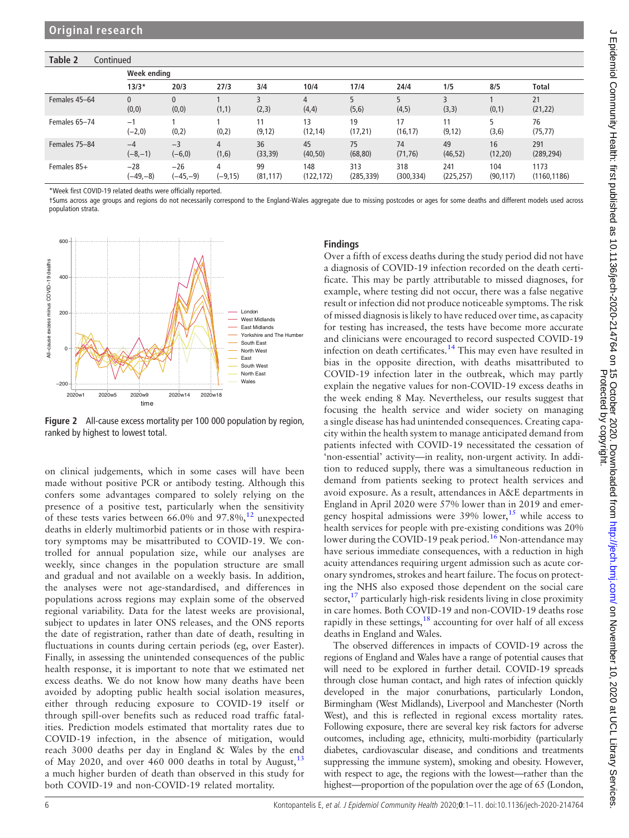## Table 2 Continued

|               | Week ending           |                   |                 |                 |                  |                   |                   |                   |                  |                      |  |
|---------------|-----------------------|-------------------|-----------------|-----------------|------------------|-------------------|-------------------|-------------------|------------------|----------------------|--|
|               | $13/3*$               | 20/3              | 27/3            | 3/4             | 10/4             | 17/4              | 24/4              | 1/5               | 8/5              | Total                |  |
| Females 45-64 | $\mathbf{0}$<br>(0,0) | 0<br>(0,0)        | (1,1)           | (2,3)           | 4<br>(4,4)       | (5, 6)            | (4, 5)            | (3,3)             | (0,1)            | 21<br>(21, 22)       |  |
| Females 65-74 | $-1$<br>$(-2,0)$      | (0,2)             | (0,2)           | 11<br>(9, 12)   | 13<br>(12, 14)   | 19<br>(17, 21)    | 17<br>(16, 17)    | 11<br>(9, 12)     | (3,6)            | 76<br>(75, 77)       |  |
| Females 75-84 | $-4$<br>$(-8,-1)$     | $-3$<br>$(-6, 0)$ | 4<br>(1,6)      | 36<br>(33, 39)  | 45<br>(40, 50)   | 75<br>(68, 80)    | 74<br>(71, 76)    | 49<br>(46, 52)    | 16<br>(12, 20)   | 291<br>(289, 294)    |  |
| Females 85+   | $-28$<br>$(-49,-8)$   | $-26$<br>(–45,–9) | 4<br>$(-9, 15)$ | 99<br>(81, 117) | 148<br>(122,172) | 313<br>(285, 339) | 318<br>(300, 334) | 241<br>(225, 257) | 104<br>(90, 117) | 1173<br>(1160, 1186) |  |

\*Week first COVID-19 related deaths were officially reported.

†Sums across age groups and regions do not necessarily correspond to the England-Wales aggregate due to missing postcodes or ages for some deaths and different models used across population strata.

<span id="page-5-0"></span>

Figure 2 All-cause excess mortality per 100 000 population by region, ranked by highest to lowest total.

on clinical judgements, which in some cases will have been made without positive PCR or antibody testing. Although this confers some advantages compared to solely relying on the presence of a positive test, particularly when the sensitivity of these tests varies between  $66.0\%$  and  $97.8\%$ ,<sup>[12](#page-10-1)</sup> unexpected deaths in elderly multimorbid patients or in those with respiratory symptoms may be misattributed to COVID-19. We controlled for annual population size, while our analyses are weekly, since changes in the population structure are small and gradual and not available on a weekly basis. In addition, the analyses were not age-standardised, and differences in populations across regions may explain some of the observed regional variability. Data for the latest weeks are provisional, subject to updates in later ONS releases, and the ONS reports the date of registration, rather than date of death, resulting in fluctuations in counts during certain periods (eg, over Easter). Finally, in assessing the unintended consequences of the public health response, it is important to note that we estimated net excess deaths. We do not know how many deaths have been avoided by adopting public health social isolation measures, either through reducing exposure to COVID-19 itself or through spill-over benefits such as reduced road traffic fatalities. Prediction models estimated that mortality rates due to COVID-19 infection, in the absence of mitigation, would reach 3000 deaths per day in England & Wales by the end of May 2020, and over 460 000 deaths in total by August,  $^{13}$  $^{13}$  $^{13}$ a much higher burden of death than observed in this study for both COVID-19 and non-COVID-19 related mortality.

## Findings

Over a fifth of excess deaths during the study period did not have a diagnosis of COVID-19 infection recorded on the death certificate. This may be partly attributable to missed diagnoses, for example, where testing did not occur, there was a false negative result or infection did not produce noticeable symptoms. The risk of missed diagnosis is likely to have reduced over time, as capacity for testing has increased, the tests have become more accurate and clinicians were encouraged to record suspected COVID-19 infection on death certificates.[14](#page-10-3) This may even have resulted in bias in the opposite direction, with deaths misattributed to COVID-19 infection later in the outbreak, which may partly explain the negative values for non-COVID-19 excess deaths in the week ending 8 May. Nevertheless, our results suggest that focusing the health service and wider society on managing a single disease has had unintended consequences. Creating capacity within the health system to manage anticipated demand from patients infected with COVID-19 necessitated the cessation of 'non-essential' activity—in reality, non-urgent activity. In addition to reduced supply, there was a simultaneous reduction in demand from patients seeking to protect health services and avoid exposure. As a result, attendances in A&E departments in England in April 2020 were 57% lower than in 2019 and emergency hospital admissions were  $39\%$  lower,<sup>[15](#page-10-4)</sup> while access to health services for people with pre-existing conditions was 20% lower during the COVID-19 peak period.<sup>[16](#page-10-5)</sup> Non-attendance may have serious immediate consequences, with a reduction in high acuity attendances requiring urgent admission such as acute coronary syndromes, strokes and heart failure. The focus on protecting the NHS also exposed those dependent on the social care sector, $^{17}$  $^{17}$  $^{17}$  particularly high-risk residents living in close proximity in care homes. Both COVID-19 and non-COVID-19 deaths rose rapidly in these settings,<sup>[18](#page-10-7)</sup> accounting for over half of all excess deaths in England and Wales.

The observed differences in impacts of COVID-19 across the regions of England and Wales have a range of potential causes that will need to be explored in further detail. COVID-19 spreads through close human contact, and high rates of infection quickly developed in the major conurbations, particularly London, Birmingham (West Midlands), Liverpool and Manchester (North West), and this is reflected in regional excess mortality rates. Following exposure, there are several key risk factors for adverse outcomes, including age, ethnicity, multi-morbidity (particularly diabetes, cardiovascular disease, and conditions and treatments suppressing the immune system), smoking and obesity. However, with respect to age, the regions with the lowest—rather than the highest—proportion of the population over the age of 65 (London,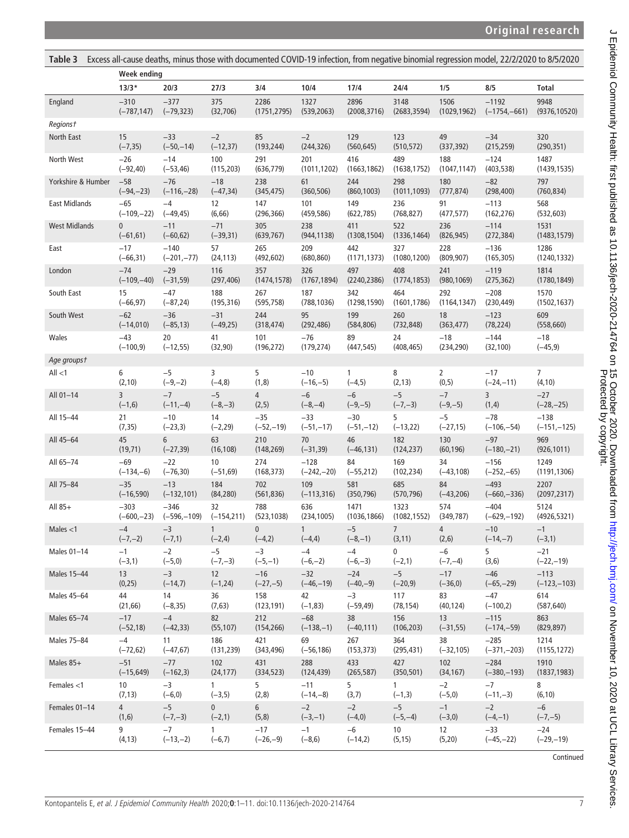<span id="page-6-0"></span>

| Excess all-cause deaths, minus those with documented COVID-19 infection, from negative binomial regression model, 22/2/2020 to 8/5/2020<br>Table 3 |                    |               |                   |                |               |              |              |                |                |                |  |
|----------------------------------------------------------------------------------------------------------------------------------------------------|--------------------|---------------|-------------------|----------------|---------------|--------------|--------------|----------------|----------------|----------------|--|
|                                                                                                                                                    | <b>Week ending</b> |               |                   |                |               |              |              |                |                |                |  |
|                                                                                                                                                    | $13/3*$            | 20/3          | 27/3              | 3/4            | 10/4          | 17/4         | 24/4         | 1/5            | 8/5            | <b>Total</b>   |  |
| England                                                                                                                                            | $-310$             | $-377$        | 375               | 2286           | 1327          | 2896         | 3148         | 1506           | $-1192$        | 9948           |  |
|                                                                                                                                                    | $(-787, 147)$      | $(-79, 323)$  | (32, 706)         | (1751, 2795)   | (539, 2063)   | (2008, 3716) | (2683, 3594) | (1029, 1962)   | $(-1754,-661)$ | (9376, 10520)  |  |
| <b>Regionst</b>                                                                                                                                    |                    |               |                   |                |               |              |              |                |                |                |  |
| North East                                                                                                                                         | 15                 | $-33$         | $-2$              | 85             | $-2$          | 129          | 123          | 49             | $-34$          | 320            |  |
|                                                                                                                                                    | $(-7, 35)$         | $(-50,-14)$   | $(-12, 37)$       | (193, 244)     | (244, 326)    | (560, 645)   | (510, 572)   | (337, 392)     | (215, 259)     | (290, 351)     |  |
| North West                                                                                                                                         | $-26$              | $-14$         | 100               | 291            | 201           | 416          | 489          | 188            | $-124$         | 1487           |  |
|                                                                                                                                                    | $(-92, 40)$        | $(-53, 46)$   | (115, 203)        | (636, 779)     | (1011, 1202)  | (1663, 1862) | (1638, 1752) | (1047, 1147)   | (403, 538)     | (1439, 1535)   |  |
| Yorkshire & Humber                                                                                                                                 | $-58$              | $-76$         | $-18$             | 238            | 61            | 244          | 298          | 180            | $-82$          | 797            |  |
|                                                                                                                                                    | $(-94,-23)$        | $(-116,-28)$  | $(-47, 34)$       | (345, 475)     | (360, 506)    | (860, 1003)  | (1011, 1093) | (777, 874)     | (298, 400)     | (760, 834)     |  |
| <b>East Midlands</b>                                                                                                                               | $-65$              | $-4$          | 12                | 147            | 101           | 149          | 236          | 91             | $-113$         | 568            |  |
|                                                                                                                                                    | $(-109,-22)$       | $(-49, 45)$   | (6, 66)           | (296, 366)     | (459, 586)    | (622, 785)   | (768, 827)   | (477, 577)     | (162, 276)     | (532, 603)     |  |
| <b>West Midlands</b>                                                                                                                               | $\mathbf{0}$       | $-11$         | $-71$             | 305            | 238           | 411          | 522          | 236            | $-114$         | 1531           |  |
|                                                                                                                                                    | $(-61, 61)$        | $(-60, 62)$   | $(-39, 31)$       | (639, 767)     | (944, 1138)   | (1308, 1504) | (1336, 1464) | (826, 945)     | (272, 384)     | (1483, 1579)   |  |
| East                                                                                                                                               | $-17$              | $-140$        | 57                | 265            | 209           | 442          | 327          | 228            | $-136$         | 1286           |  |
|                                                                                                                                                    | $(-66, 31)$        | $(-201,-77)$  | (24, 113)         | (492, 602)     | (680, 860)    | (1171, 1373) | (1080, 1200) | (809, 907)     | (165, 305)     | (1240, 1332)   |  |
| London                                                                                                                                             | $-74$              | $-29$         | 116               | 357            | 326           | 497          | 408          | 241            | $-119$         | 1814           |  |
|                                                                                                                                                    | $(-109,-40)$       | $(-31, 59)$   | (297, 406)        | (1474, 1578)   | (1767, 1894)  | (2240, 2386) | (1774, 1853) | (980, 1069)    | (275, 362)     | (1780, 1849)   |  |
| South East                                                                                                                                         | 15                 | $-47$         | 188               | 267            | 187           | 342          | 464          | 292            | $-208$         | 1570           |  |
|                                                                                                                                                    | $(-66, 97)$        | $(-87, 24)$   | (195, 316)        | (595, 758)     | (788, 1036)   | (1298, 1590) | (1601, 1786) | (1164, 1347)   | (230, 449)     | (1502, 1637)   |  |
| South West                                                                                                                                         | $-62$              | $-36$         | $-31$             | 244            | 95            | 199          | 260          | 18             | $-123$         | 609            |  |
|                                                                                                                                                    | $(-14,010)$        | $(-85, 13)$   | $(-49, 25)$       | (318, 474)     | (292, 486)    | (584, 806)   | (732, 848)   | (363, 477)     | (78, 224)      | (558, 660)     |  |
| Wales                                                                                                                                              | $-43$              | 20            | 41                | 101            | $-76$         | 89           | 24           | $-18$          | $-144$         | $-18$          |  |
|                                                                                                                                                    | $(-100, 9)$        | $(-12, 55)$   | (32, 90)          | (196, 272)     | (179, 274)    | (447, 545)   | (408, 465)   | (234, 290)     | (32, 100)      | $(-45, 9)$     |  |
| Age groupst                                                                                                                                        |                    |               |                   |                |               |              |              |                |                |                |  |
| All < 1                                                                                                                                            | 6                  | $-5$          | 3                 | 5              | $-10$         | $\mathbf{1}$ | 8            | $\overline{2}$ | $-17$          | $\overline{7}$ |  |
|                                                                                                                                                    | (2, 10)            | $(-9,-2)$     | $(-4, 8)$         | (1, 8)         | $(-16,-5)$    | $(-4, 5)$    | (2, 13)      | (0, 5)         | $(-24,-11)$    | (4, 10)        |  |
| All 01-14                                                                                                                                          | 3                  | $-7$          | $-5$              | $\overline{4}$ | $-6$          | $-6$         | $-5$         | $-7$           | 3              | $-27$          |  |
|                                                                                                                                                    | $(-1, 6)$          | $(-11,-4)$    | $(-8,-3)$         | (2, 5)         | $(-8,-4)$     | $(-9,-5)$    | $(-7,-3)$    | $(-9,-5)$      | (1, 4)         | $(-28,-25)$    |  |
| All 15-44                                                                                                                                          | 21                 | $-10$         | 14                | $-35$          | $-33$         | $-30$        | 5            | $-5$           | $-78$          | $-138$         |  |
|                                                                                                                                                    | (7, 35)            | $(-23,3)$     | $(-2, 29)$        | $(-52,-19)$    | $(-51,-17)$   | $(-51,-12)$  | $(-13, 22)$  | $(-27, 15)$    | $(-106,-54)$   | $(-151,-125)$  |  |
| All 45-64                                                                                                                                          | 45                 | 6             | 63                | 210            | 70            | 46           | 182          | 130            | $-97$          | 969            |  |
|                                                                                                                                                    | (19, 71)           | $(-27, 39)$   | (16, 108)         | (148, 269)     | $(-31, 39)$   | $(-46, 131)$ | (124, 237)   | (60, 196)      | $(-180,-21)$   | (926, 1011)    |  |
| All 65-74                                                                                                                                          | $-69$              | $-22$         | 10                | 274            | $-128$        | 84           | 169          | 34             | $-156$         | 1249           |  |
|                                                                                                                                                    | $(-134,-6)$        | $(-76, 30)$   | $(-51, 69)$       | (168, 373)     | $(-242,-20)$  | $(-55, 212)$ | (102, 234)   | $(-43, 108)$   | $(-252,-65)$   | (1191, 1306)   |  |
| All 75-84                                                                                                                                          | $-35$              | $-13$         | 184               | 702            | 109           | 581          | 685          | 84             | $-493$         | 2207           |  |
|                                                                                                                                                    | $(-16, 590)$       | $(-132, 101)$ | (84, 280)         | (561, 836)     | $(-113, 316)$ | (350, 796)   | (570, 796)   | $(-43, 206)$   | $(-660,-336)$  | (2097, 2317)   |  |
| All 85+                                                                                                                                            | $-303$             | $-346$        | 32                | 788            | 636           | 1471         | 1323         | 574            | $-404$         | 5124           |  |
|                                                                                                                                                    | $(-600,-23)$       | $(-596,-109)$ | $(-154, 211)$     | (523, 1038)    | (234, 1005)   | (1036, 1866) | (1082, 1552) | (349, 787)     | $(-629,-192)$  | (4926, 5321)   |  |
| Males $<$ 1                                                                                                                                        | $-4$               | $-3$          | $1 \quad$         | 0              | 1             | $-5$         | 7            | 4              | $-10$          | $-1$           |  |
|                                                                                                                                                    | $(-7,-2)$          | $(-7,1)$      | $(-2, 4)$         | $(-4,2)$       | $(-4, 4)$     | $(-8,-1)$    | (3, 11)      | (2,6)          | $(-14,-7)$     | $(-3,1)$       |  |
| Males 01-14                                                                                                                                        | $-1$               | $-2$          | $-5$              | $-3$           | $-4$          | $-4$         | $\mathbf 0$  | $-6$           | 5              | $-21$          |  |
|                                                                                                                                                    | $(-3,1)$           | $(-5,0)$      | $(-7,-3)$         | $(-5,-1)$      | $(-6,-2)$     | $(-6,-3)$    | $(-2,1)$     | $(-7,-4)$      | (3,6)          | $(-22,-19)$    |  |
| Males 15-44                                                                                                                                        | 13                 | $-3$          | 12                | $-16$          | $-32$         | $-24$        | $-5$         | $-17$          | $-46$          | $-113$         |  |
|                                                                                                                                                    | (0, 25)            | $(-14,7)$     | $(-1, 24)$        | $(-27,-5)$     | $(-46,-19)$   | $(-40,-9)$   | $(-20, 9)$   | $(-36,0)$      | $(-65,-29)$    | $(-123,-103)$  |  |
| Males 45-64                                                                                                                                        | 44                 | 14            | 36                | 158            | 42            | $-3$         | 117          | 83             | $-47$          | 614            |  |
|                                                                                                                                                    | (21, 66)           | $(-8, 35)$    | (7, 63)           | (123, 191)     | $(-1, 83)$    | $(-59, 49)$  | (78, 154)    | (40, 124)      | $(-100, 2)$    | (587, 640)     |  |
| Males 65-74                                                                                                                                        | $-17$              | $-4$          | 82                | 212            | $-68$         | 38           | 156          | 13             | $-115$         | 863            |  |
|                                                                                                                                                    | $(-52, 18)$        | $(-42, 33)$   | (55, 107)         | (154, 266)     | $(-138,-1)$   | $(-40, 111)$ | (106, 203)   | $(-31, 55)$    | $(-174,-59)$   | (829, 897)     |  |
| Males 75-84                                                                                                                                        | $-4$               | 11            | 186               | 421            | 69            | 267          | 364          | 38             | $-285$         | 1214           |  |
|                                                                                                                                                    | $(-72, 62)$        | $(-47, 67)$   | (131, 239)        | (343, 496)     | $(-56, 186)$  | (153, 373)   | (295, 431)   | $(-32, 105)$   | $(-371,-203)$  | (1155, 1272)   |  |
| Males 85+                                                                                                                                          | $-51$              | $-77$         | 102               | 431            | 288           | 433          | 427          | 102            | $-284$         | 1910           |  |
|                                                                                                                                                    | $(-15, 649)$       | $(-162,3)$    | (24, 177)         | (334, 523)     | (124, 439)    | (265, 587)   | (350, 501)   | (34, 167)      | $(-380,-193)$  | (1837, 1983)   |  |
| Females <1                                                                                                                                         | 10                 | $-3$          | 1                 | 5              | $-11$         | 5            | 1            | $-2$           | $-7$           | 8              |  |
|                                                                                                                                                    | (7, 13)            | $(-6, 0)$     | $(-3,5)$          | (2, 8)         | $(-14,-8)$    | (3,7)        | $(-1,3)$     | $(-5,0)$       | $(-11,-3)$     | (6, 10)        |  |
| Females 01-14                                                                                                                                      | $4 -$              | $-5$          | $0 \qquad \qquad$ | $6\degree$     | $-2$          | $-2$         | $-5$         | $-1$           | $-2$           | $-6$           |  |
|                                                                                                                                                    | (1,6)              | $(-7,-3)$     | $(-2,1)$          | (5, 8)         | $(-3,-1)$     | $(-4,0)$     | $(-5,-4)$    | $(-3,0)$       | $(-4,-1)$      | $(-7,-5)$      |  |
| Females 15-44                                                                                                                                      | 9                  | $-7$          | $\mathbf{1}$      | $-17$          | $-1$          | $-6$         | 10           | 12             | $-33$          | $-24$          |  |
|                                                                                                                                                    | (4, 13)            | $(-13,-2)$    | $(-6,7)$          | $(-26,-9)$     | $(-8, 6)$     | $(-14,2)$    | (5, 15)      | (5, 20)        | $(-45,-22)$    | $(-29,-19)$    |  |

Continued

J Epidemiol Community Health: first published as 10.1136/jech-2020-214764 on 15 October 2020. Downloaded from http://jech.bmj.com/ on November 10, 2020 at UCL Library Services.<br>Protected by computived as 10.1136/jech-2020J Epidemiol Community Health: first published as 10.1136/jech-2020-214764 on 15 October 2020. Downloaded from <http://jech.bmj.com/> on November 10, 2020 at UCL Library Services. Protected by copyright.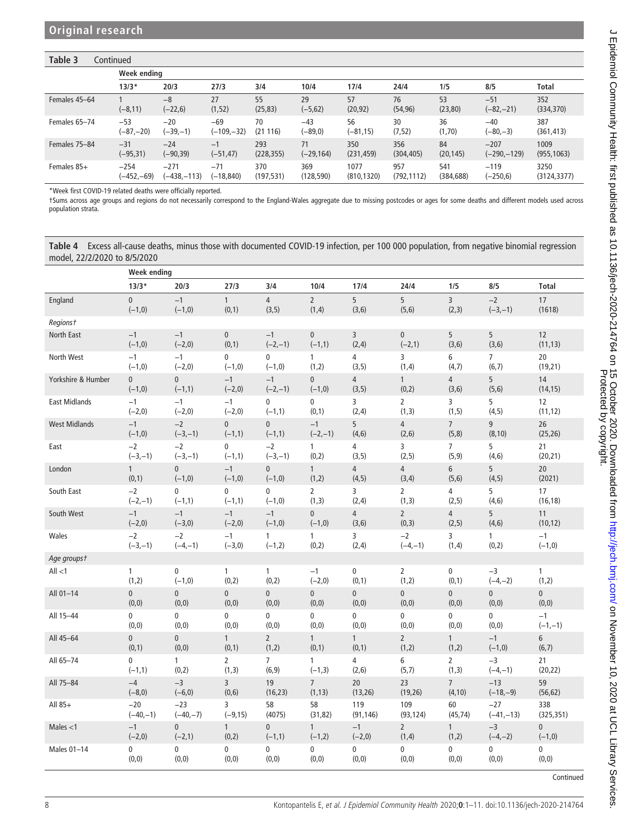# Table 3 Continued

|               | Week endina  |                   |               |                |                  |                |                |                |                      |                   |  |  |
|---------------|--------------|-------------------|---------------|----------------|------------------|----------------|----------------|----------------|----------------------|-------------------|--|--|
|               | $13/3*$      | 20/3              | 27/3          | 3/4            | 10/4             | 17/4           | 24/4           | 1/5            | 8/5                  | <b>Total</b>      |  |  |
| Females 45-64 | $(-8, 11)$   | $-8$<br>$(-22,6)$ | 27<br>(1, 52) | 55<br>(25, 83) | 29<br>$(-5, 62)$ | 57<br>(20, 92) | 76<br>(54, 96) | 53<br>(23, 80) | $-51$<br>$(-82,-21)$ | 352<br>(334, 370) |  |  |
| Females 65-74 | $-53$        | $-20$             | $-69$         | 70             | $-43$            | 56             | 30             | 36             | $-40$                | 387               |  |  |
|               | $(-87,-20)$  | (–39,–1)          | $(-109,-32)$  | (21116)        | $(-89,0)$        | $(-81, 15)$    | (7, 52)        | (1,70)         | $(-80,-3)$           | (361, 413)        |  |  |
| Females 75-84 | $-31$        | $-24$             | $-1$          | 293            | 71               | 350            | 356            | 84             | $-207$               | 1009              |  |  |
|               | $(-95, 31)$  | (-90,39)          | $(-51, 47)$   | (228, 355)     | $(-29, 164)$     | (231, 459)     | (304, 405)     | (20, 145)      | $(-290,-129)$        | (955, 1063)       |  |  |
| Females 85+   | $-254$       | $-271$            | $-71$         | 370            | 369              | 1077           | 957            | 541            | $-119$               | 3250              |  |  |
|               | $(-452,-69)$ | $(-438,-113)$     | $(-18, 840)$  | (197, 531)     | (128, 590)       | (810, 1320)    | (792,1112)     | (384, 688)     | $(-250, 6)$          | (3124, 3377)      |  |  |

\*Week first COVID-19 related deaths were officially reported.

†Sums across age groups and regions do not necessarily correspond to the England-Wales aggregate due to missing postcodes or ages for some deaths and different models used across population strata.

<span id="page-7-0"></span>Table 4 Excess all-cause deaths, minus those with documented COVID-19 infection, per 100 000 population, from negative binomial regression model, 22/2/2020 to 8/5/2020

|                      | <b>Week ending</b> |                |                |                |                |                |                |                 |                |                |  |
|----------------------|--------------------|----------------|----------------|----------------|----------------|----------------|----------------|-----------------|----------------|----------------|--|
|                      | $13/3*$            | 20/3           | 27/3           | 3/4            | 10/4           | 17/4           | 24/4           | 1/5             | 8/5            | <b>Total</b>   |  |
| England              | $\pmb{0}$          | $-1$           | $\mathbf{1}$   | $\overline{4}$ | $\overline{2}$ | 5              | 5              | $\overline{3}$  | $-2$           | 17             |  |
|                      | $(-1,0)$           | $(-1,0)$       | (0, 1)         | (3, 5)         | (1,4)          | (3, 6)         | (5, 6)         | (2, 3)          | $(-3,-1)$      | (1618)         |  |
| Regionst             |                    |                |                |                |                |                |                |                 |                |                |  |
| North East           | $-1$               | $-1$           | $\mathbf 0$    | $-1$           | $\mathbf{0}$   | 3              | $\mathbf{0}$   | 5               | 5              | 12             |  |
|                      | $(-1,0)$           | $(-2,0)$       | (0, 1)         | $(-2,-1)$      | $(-1,1)$       | (2,4)          | $(-2, 1)$      | (3, 6)          | (3, 6)         | (11, 13)       |  |
| North West           | $-1$               | $-1$           | 0              | 0              | $\mathbf{1}$   | 4              | 3              | 6               | $\overline{7}$ | 20             |  |
|                      | $(-1,0)$           | $(-2,0)$       | $(-1,0)$       | $(-1,0)$       | (1,2)          | (3, 5)         | (1,4)          | (4,7)           | (6, 7)         | (19,21)        |  |
| Yorkshire & Humber   | $\mathbf 0$        | $\overline{0}$ | $-1$           | $-1$           | $\mathbf{0}$   | $\overline{4}$ | $\mathbf{1}$   | $\overline{4}$  | 5              | 14             |  |
|                      | $(-1,0)$           | $(-1,1)$       | $(-2,0)$       | $(-2,-1)$      | $(-1,0)$       | (3, 5)         | (0,2)          | (3,6)           | (5, 6)         | (14, 15)       |  |
| <b>East Midlands</b> | $-1$               | $-1$           | $-1$           | 0              | 0              | 3              | $\overline{2}$ | 3               | 5              | 12             |  |
|                      | $(-2,0)$           | $(-2,0)$       | $(-2,0)$       | $(-1,1)$       | (0,1)          | (2,4)          | (1,3)          | (1, 5)          | (4, 5)         | (11, 12)       |  |
| <b>West Midlands</b> | $-1$               | $-2$           | $\pmb{0}$      | $\overline{0}$ | $-1$           | 5              | $\overline{4}$ | $7\overline{ }$ | 9              | 26             |  |
|                      | $(-1,0)$           | $(-3,-1)$      | $(-1,1)$       | $(-1,1)$       | $(-2,-1)$      | (4, 6)         | (2,6)          | (5,8)           | (8, 10)        | (25, 26)       |  |
| East                 | $-2$               | $-2$           | 0              | $-2$           | $\mathbf{1}$   | $\overline{4}$ | 3              | $\overline{7}$  | 5              | 21             |  |
|                      | $(-3,-1)$          | $(-3,-1)$      | $(-1,1)$       | $(-3,-1)$      | (0, 2)         | (3, 5)         | (2, 5)         | (5, 9)          | (4, 6)         | (20, 21)       |  |
| London               | $\mathbf{1}$       | $\mathbf{0}$   | $-1$           | $\overline{0}$ | $\mathbf{1}$   | $\overline{4}$ | $\overline{4}$ | 6               | 5              | 20             |  |
|                      | (0,1)              | $(-1,0)$       | $(-1,0)$       | $(-1,0)$       | (1,2)          | (4, 5)         | (3,4)          | (5, 6)          | (4, 5)         | (2021)         |  |
| South East           | $-2$               | $\mathbf 0$    | 0              | 0              | $\overline{2}$ | 3              | $\overline{2}$ | 4               | 5              | 17             |  |
|                      | $(-2,-1)$          | $(-1,1)$       | $(-1,1)$       | $(-1,0)$       | (1, 3)         | (2,4)          | (1,3)          | (2, 5)          | (4, 6)         | (16, 18)       |  |
| South West           | $-1$               | $-1$           | $-1$           | $-1$           | $\pmb{0}$      | $\overline{4}$ | $\overline{2}$ | $\overline{4}$  | 5              | 11             |  |
|                      | $(-2,0)$           | $(-3,0)$       | $(-2,0)$       | $(-1,0)$       | $(-1,0)$       | (3,6)          | (0, 3)         | (2, 5)          | (4, 6)         | (10, 12)       |  |
| Wales                | $-2$               | $-2$           | $-1$           | 1              | $\mathbf{1}$   | 3              | $-2$           | 3               | 1              | $-1$           |  |
|                      | $(-3,-1)$          | $(-4,-1)$      | $(-3,0)$       | $(-1,2)$       | (0, 2)         | (2,4)          | $(-4,-1)$      | (1, 4)          | (0, 2)         | $(-1,0)$       |  |
| Age groupst          |                    |                |                |                |                |                |                |                 |                |                |  |
| All $<$ 1            | $\mathbf{1}$       | 0              | $\mathbf{1}$   | $\mathbf{1}$   | $-1$           | 0              | $\overline{2}$ | 0               | $-3$           | 1              |  |
|                      | (1, 2)             | $(-1,0)$       | (0, 2)         | (0,2)          | $(-2,0)$       | (0,1)          | (1, 2)         | (0,1)           | $(-4,-2)$      | (1, 2)         |  |
| All 01-14            | $\pmb{0}$          | 0              | $\overline{0}$ | $\overline{0}$ | $\pmb{0}$      | $\pmb{0}$      | $\mathbf{0}$   | $\mathbf{0}$    | $\mathbf 0$    | $\overline{0}$ |  |
|                      | (0,0)              | (0, 0)         | (0, 0)         | (0,0)          | (0,0)          | (0,0)          | (0,0)          | (0, 0)          | (0, 0)         | (0, 0)         |  |
| All 15-44            | 0                  | 0              | 0              | 0              | 0              | 0              | 0              | 0               | 0              | $-1$           |  |
|                      | (0, 0)             | (0, 0)         | (0, 0)         | (0, 0)         | (0, 0)         | (0,0)          | (0, 0)         | (0, 0)          | (0, 0)         | $(-1,-1)$      |  |
| All 45-64            | $\mathbf{0}$       | $\mathbf 0$    | $\mathbf{1}$   | $\overline{2}$ | $\mathbf{1}$   | $\mathbf{1}$   | $\overline{2}$ | $\mathbf{1}$    | $-1$           | 6              |  |
|                      | (0,1)              | (0, 0)         | (0,1)          | (1,2)          | (0,1)          | (0,1)          | (1,2)          | (1,2)           | $(-1,0)$       | (6, 7)         |  |
| All 65-74            | 0                  | $\mathbf{1}$   | $\overline{2}$ | $\overline{7}$ | $\mathbf{1}$   | $\overline{4}$ | 6              | $\overline{2}$  | $-3$           | 21             |  |
|                      | $(-1,1)$           | (0, 2)         | (1, 3)         | (6, 9)         | $(-1,3)$       | (2, 6)         | (5,7)          | (1,3)           | $(-4,-1)$      | (20, 22)       |  |
| All 75-84            | $-4$               | $-3$           | $\overline{3}$ | 19             | $\overline{7}$ | 20             | 23             | $7\overline{ }$ | $-13$          | 59             |  |
|                      | $(-8,0)$           | $(-6, 0)$      | (0, 6)         | (16, 23)       | (1, 13)        | (13, 26)       | (19, 26)       | (4, 10)         | $(-18,-9)$     | (56, 62)       |  |
| All 85+              | $-20$              | $-23$          | 3              | 58             | 58             | 119            | 109            | 60              | $-27$          | 338            |  |
|                      | $(-40,-1)$         | $(-40,-7)$     | $(-9, 15)$     | (4075)         | (31, 82)       | (91, 146)      | (93, 124)      | (45, 74)        | $(-41,-13)$    | (325, 351)     |  |
| Males $<$ 1          | $-1$               | $\mathbf{0}$   | $\mathbf{1}$   | $\overline{0}$ | $\mathbf{1}$   | $-1$           | $\overline{2}$ | $\mathbf{1}$    | $-3$           | $\overline{0}$ |  |
|                      | $(-2,0)$           | $(-2, 1)$      | (0, 2)         | $(-1,1)$       | $(-1,2)$       | $(-2,0)$       | (1,4)          | (1,2)           | $(-4,-2)$      | $(-1,0)$       |  |
| Males 01-14          | 0                  | $\pmb{0}$      | 0              | 0              | 0              | $\mathbf 0$    | 0              | 0               | 0              | 0              |  |
|                      | (0, 0)             | (0,0)          | (0, 0)         | (0, 0)         | (0, 0)         | (0,0)          | (0, 0)         | (0,0)           | (0,0)          | (0, 0)         |  |

Continued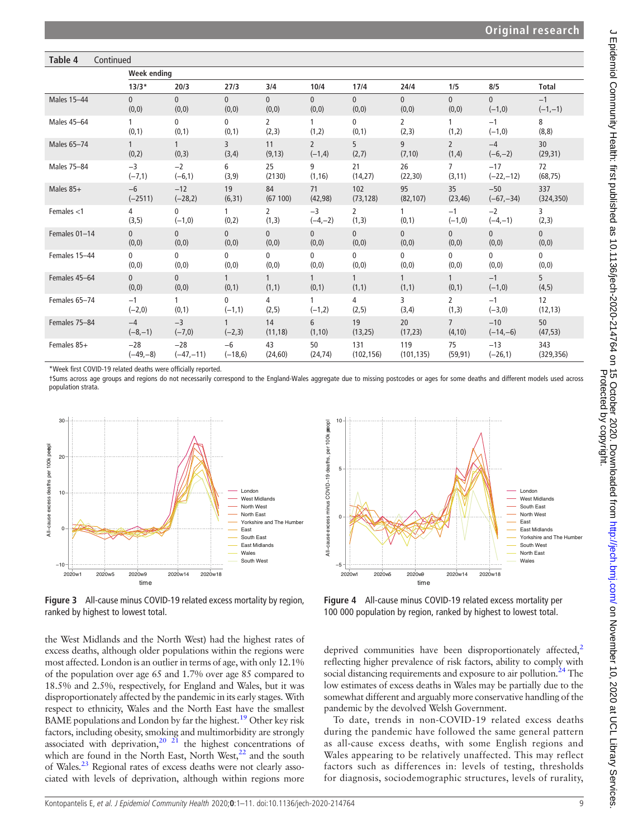## Table 4 Continued

|               | Week ending       |                          |                          |                         |                            |                          |                         |                          |                   |                          |  |
|---------------|-------------------|--------------------------|--------------------------|-------------------------|----------------------------|--------------------------|-------------------------|--------------------------|-------------------|--------------------------|--|
|               | $13/3*$           | 20/3                     | 27/3                     | 3/4                     | 10/4                       | 17/4                     | 24/4                    | 1/5                      | 8/5               | <b>Total</b>             |  |
| Males 15-44   | $\mathbf{0}$      | $\overline{0}$           | $\overline{0}$           | $\overline{0}$          | $\overline{0}$             | $\overline{0}$           | $\overline{0}$          | $\mathbf{0}$             | $\mathbf{0}$      | $-1$                     |  |
|               | (0,0)             | (0, 0)                   | (0, 0)                   | (0, 0)                  | (0,0)                      | (0, 0)                   | (0,0)                   | (0, 0)                   | $(-1,0)$          | $(-1,-1)$                |  |
| Males 45-64   | (0,1)             | 0<br>(0,1)               | $\mathbf{0}$<br>(0,1)    | $\overline{2}$<br>(2,3) | 1<br>(1,2)                 | $\mathbf{0}$<br>(0,1)    | $\overline{2}$<br>(2,3) | 1<br>(1,2)               | $-1$<br>$(-1,0)$  | 8<br>(8, 8)              |  |
| Males 65-74   | (0, 2)            | $\mathbf{1}$<br>(0, 3)   | 3<br>(3,4)               | 11<br>(9, 13)           | $\overline{2}$<br>$(-1,4)$ | 5<br>(2,7)               | 9<br>(7, 10)            | $\overline{2}$<br>(1, 4) | $-4$<br>$(-6,-2)$ | 30<br>(29, 31)           |  |
| Males 75-84   | $-3$              | $-2$                     | 6                        | 25                      | 9                          | 21                       | 26                      | $\overline{7}$           | $-17$             | 72                       |  |
|               | $(-7,1)$          | $(-6,1)$                 | (3, 9)                   | (2130)                  | (1, 16)                    | (14,27)                  | (22, 30)                | (3, 11)                  | $(-22,-12)$       | (68, 75)                 |  |
| Males 85+     | $-6$              | $-12$                    | 19                       | 84                      | 71                         | 102                      | 95                      | 35                       | $-50$             | 337                      |  |
|               | $(-2511)$         | $(-28,2)$                | (6, 31)                  | (67100)                 | (42, 98)                   | (73, 128)                | (82, 107)               | (23, 46)                 | $(-67,-34)$       | (324, 350)               |  |
| Females $<$ 1 | 4<br>(3, 5)       | $\mathbf{0}$<br>$(-1,0)$ | $\mathbf{1}$<br>(0, 2)   | $\overline{2}$<br>(1,3) | $-3$<br>$(-4,-2)$          | $\overline{2}$<br>(1, 3) | (0,1)                   | $-1$<br>$(-1,0)$         | $-2$<br>$(-4,-1)$ | $\overline{3}$<br>(2, 3) |  |
| Females 01-14 | $\Omega$          | $\overline{0}$           | $\overline{0}$           | $\Omega$                | $\mathbf{0}$               | $\overline{0}$           | $\overline{0}$          | $\mathbf{0}$             | $\mathbf{0}$      | $\overline{0}$           |  |
|               | (0,0)             | (0, 0)                   | (0,0)                    | (0, 0)                  | (0,0)                      | (0,0)                    | (0,0)                   | (0,0)                    | (0, 0)            | (0, 0)                   |  |
| Females 15-44 | $\mathbf{0}$      | 0                        | 0                        | 0                       | 0                          | $\mathbf{0}$             | 0                       | 0                        | $\mathbf 0$       | 0                        |  |
|               | (0, 0)            | (0, 0)                   | (0,0)                    | (0,0)                   | (0,0)                      | (0, 0)                   | (0,0)                   | (0, 0)                   | (0, 0)            | (0, 0)                   |  |
| Females 45-64 | $\Omega$<br>(0,0) | $\mathbf{0}$<br>(0, 0)   | (0,1)                    | $\mathbf{1}$<br>(1,1)   | (0,1)                      | $\mathbf{1}$<br>(1,1)    | (1,1)                   | (0,1)                    | $-1$<br>$(-1,0)$  | 5<br>(4, 5)              |  |
| Females 65-74 | $-1$<br>$(-2,0)$  | 1<br>(0,1)               | $\mathbf{0}$<br>$(-1,1)$ | 4<br>(2,5)              | $(-1,2)$                   | 4<br>(2, 5)              | 3<br>(3,4)              | $\overline{2}$<br>(1,3)  | $-1$<br>$(-3,0)$  | 12<br>(12, 13)           |  |
| Females 75-84 | $-4$              | $-3$                     | $\mathbf{1}$             | 14                      | 6                          | 19                       | 20                      | $\overline{7}$           | $-10$             | 50                       |  |
|               | $(-8,-1)$         | $(-7,0)$                 | $(-2,3)$                 | (11, 18)                | (1, 10)                    | (13,25)                  | (17, 23)                | (4, 10)                  | $(-14,-6)$        | (47, 53)                 |  |
| Females 85+   | $-28$             | $-28$                    | $-6$                     | 43                      | 50                         | 131                      | 119                     | 75                       | $-13$             | 343                      |  |
|               | $(-49,-8)$        | $(-47,-11)$              | $(-18,6)$                | (24, 60)                | (24, 74)                   | (102, 156)               | (101, 135)              | (59, 91)                 | $(-26,1)$         | (329, 356)               |  |

\*Week first COVID-19 related deaths were officially reported.

†Sums across age groups and regions do not necessarily correspond to the England-Wales aggregate due to missing postcodes or ages for some deaths and different models used across population strata.

<span id="page-8-0"></span>

Figure 3 All-cause minus COVID-19 related excess mortality by region, ranked by highest to lowest total.

the West Midlands and the North West) had the highest rates of excess deaths, although older populations within the regions were most affected. London is an outlier in terms of age, with only 12.1% of the population over age 65 and 1.7% over age 85 compared to 18.5% and 2.5%, respectively, for England and Wales, but it was disproportionately affected by the pandemic in its early stages. With respect to ethnicity, Wales and the North East have the smallest BAME populations and London by far the highest[.19](#page-10-8) Other key risk factors, including obesity, smoking and multimorbidity are strongly associated with deprivation,<sup>20 21</sup> the highest concentrations of which are found in the North East, North West,<sup>22</sup> and the south of Wales[.23](#page-10-11) Regional rates of excess deaths were not clearly associated with levels of deprivation, although within regions more

<span id="page-8-1"></span>

Figure 4 All-cause minus COVID-19 related excess mortality per 100 000 population by region, ranked by highest to lowest total.

deprived communities have been disproportionately affected, $2$ reflecting higher prevalence of risk factors, ability to comply with social distancing requirements and exposure to air pollution.<sup>[24](#page-10-12)</sup> The low estimates of excess deaths in Wales may be partially due to the somewhat different and arguably more conservative handling of the pandemic by the devolved Welsh Government.

To date, trends in non-COVID-19 related excess deaths during the pandemic have followed the same general pattern as all-cause excess deaths, with some English regions and Wales appearing to be relatively unaffected. This may reflect factors such as differences in: levels of testing, thresholds for diagnosis, sociodemographic structures, levels of rurality,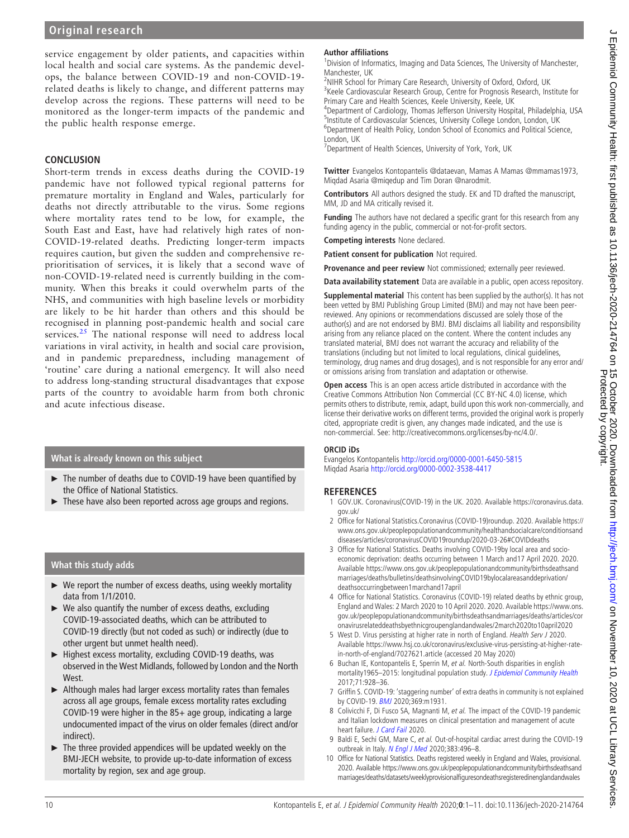service engagement by older patients, and capacities within local health and social care systems. As the pandemic develops, the balance between COVID-19 and non-COVID-19 related deaths is likely to change, and different patterns may develop across the regions. These patterns will need to be monitored as the longer-term impacts of the pandemic and the public health response emerge.

## **CONCLUSION**

Short-term trends in excess deaths during the COVID-19 pandemic have not followed typical regional patterns for premature mortality in England and Wales, particularly for deaths not directly attributable to the virus. Some regions where mortality rates tend to be low, for example, the South East and East, have had relatively high rates of non-COVID-19-related deaths. Predicting longer-term impacts requires caution, but given the sudden and comprehensive reprioritisation of services, it is likely that a second wave of non-COVID-19-related need is currently building in the community. When this breaks it could overwhelm parts of the NHS, and communities with high baseline levels or morbidity are likely to be hit harder than others and this should be recognised in planning post-pandemic health and social care services.<sup>[25](#page-10-13)</sup> The national response will need to address local variations in viral activity, in health and social care provision, and in pandemic preparedness, including management of 'routine' care during a national emergency. It will also need to address long-standing structural disadvantages that expose parts of the country to avoidable harm from both chronic and acute infectious disease.

## What is already known on this subject

- ► The number of deaths due to COVID-19 have been quantified by the Office of National Statistics.
- These have also been reported across age groups and regions.

# What this study adds

- ► We report the number of excess deaths, using weekly mortality data from 1/1/2010.
- $\triangleright$  We also quantify the number of excess deaths, excluding COVID-19-associated deaths, which can be attributed to COVID-19 directly (but not coded as such) or indirectly (due to other urgent but unmet health need).
- ► Highest excess mortality, excluding COVID-19 deaths, was observed in the West Midlands, followed by London and the North West.
- ► Although males had larger excess mortality rates than females across all age groups, female excess mortality rates excluding COVID-19 were higher in the 85+ age group, indicating a large undocumented impact of the virus on older females (direct and/or indirect).
- ► The three provided appendices will be updated weekly on the BMJ-JECH website, to provide up-to-date information of excess mortality by region, sex and age group.

### Author affiliations

<sup>1</sup> Division of Informatics, Imaging and Data Sciences, The University of Manchester, Manchester, UK

<sup>2</sup>NIHR School for Primary Care Research, University of Oxford, Oxford, UK <sup>3</sup>Keele Cardiovascular Research Group, Centre for Prognosis Research, Institute for Primary Care and Health Sciences, Keele University, Keele, UK 4 Department of Cardiology, Thomas Jefferson University Hospital, Philadelphia, USA <sup>5</sup>Institute of Cardiovascular Sciences, University College London, London, UK <sup>6</sup>Department of Health Policy, London School of Economics and Political Science,

London, UK <sup>7</sup> Department of Health Sciences, University of York, York, UK

Twitter Evangelos Kontopantelis [@dataevan](https://twitter.com/dataevan), Mamas A Mamas [@mmamas1973,](https://twitter.com/mmamas1973) Miqdad Asaria [@miqedup](https://twitter.com/miqedup) and Tim Doran [@narodmit](https://twitter.com/narodmit).

Contributors All authors designed the study. EK and TD drafted the manuscript, MM, JD and MA critically revised it.

**Funding** The authors have not declared a specific grant for this research from any funding agency in the public, commercial or not-for-profit sectors.

Competing interests None declared.

Patient consent for publication Not required.

Provenance and peer review Not commissioned; externally peer reviewed.

Data availability statement Data are available in a public, open access repository.

**Supplemental material** This content has been supplied by the author(s). It has not been vetted by BMJ Publishing Group Limited (BMJ) and may not have been peerreviewed. Any opinions or recommendations discussed are solely those of the author(s) and are not endorsed by BMJ. BMJ disclaims all liability and responsibility arising from any reliance placed on the content. Where the content includes any translated material, BMJ does not warrant the accuracy and reliability of the translations (including but not limited to local regulations, clinical guidelines, terminology, drug names and drug dosages), and is not responsible for any error and/ or omissions arising from translation and adaptation or otherwise.

Open access This is an open access article distributed in accordance with the Creative Commons Attribution Non Commercial (CC BY-NC 4.0) license, which permits others to distribute, remix, adapt, build upon this work non-commercially, and license their derivative works on different terms, provided the original work is properly cited, appropriate credit is given, any changes made indicated, and the use is non-commercial. See:<http://creativecommons.org/licenses/by-nc/4.0/>.

#### ORCID iDs

Evangelos Kontopantelis <http://orcid.org/0000-0001-6450-5815> Miqdad Asaria <http://orcid.org/0000-0002-3538-4417>

## **REFERENCES**

- <span id="page-9-0"></span>1 GOV.UK. Coronavirus(COVID-19) in the UK. 2020. Available [https://coronavirus.data.](https://coronavirus.data.gov.uk/) [gov.uk/](https://coronavirus.data.gov.uk/)
- <span id="page-9-1"></span>2 Office for National Statistics.Coronavirus (COVID-19)roundup. 2020. Available [https://](https://www.ons.gov.uk/peoplepopulationandcommunity/healthandsocialcare/conditionsanddiseases/articles/coronavirusCOVID19roundup/2020-03-26%23COVIDdeaths) [www.ons.gov.uk/peoplepopulationandcommunity/healthandsocialcare/conditionsand](https://www.ons.gov.uk/peoplepopulationandcommunity/healthandsocialcare/conditionsanddiseases/articles/coronavirusCOVID19roundup/2020-03-26%23COVIDdeaths) [diseases/articles/coronavirusCOVID19roundup/2020-03-26#COVIDdeaths](https://www.ons.gov.uk/peoplepopulationandcommunity/healthandsocialcare/conditionsanddiseases/articles/coronavirusCOVID19roundup/2020-03-26%23COVIDdeaths)
- 3 Office for National Statistics. Deaths involving COVID-19by local area and socioeconomic deprivation: deaths occurring between 1 March and17 April 2020. 2020. Available [https://www.ons.gov.uk/peoplepopulationandcommunity/birthsdeathsand](https://www.ons.gov.uk/peoplepopulationandcommunity/birthsdeathsandmarriages/deaths/bulletins/deathsinvolvingCOVID19bylocalareasanddeprivation/deathsoccurringbetween1marchand17april) [marriages/deaths/bulletins/deathsinvolvingCOVID19bylocalareasanddeprivation/](https://www.ons.gov.uk/peoplepopulationandcommunity/birthsdeathsandmarriages/deaths/bulletins/deathsinvolvingCOVID19bylocalareasanddeprivation/deathsoccurringbetween1marchand17april) [deathsoccurringbetween1marchand17april](https://www.ons.gov.uk/peoplepopulationandcommunity/birthsdeathsandmarriages/deaths/bulletins/deathsinvolvingCOVID19bylocalareasanddeprivation/deathsoccurringbetween1marchand17april)
- <span id="page-9-2"></span>4 Office for National Statistics. Coronavirus (COVID-19) related deaths by ethnic group, England and Wales: 2 March 2020 to 10 April 2020. 2020. Available [https://www.ons.](https://www.ons.gov.uk/peoplepopulationandcommunity/birthsdeathsandmarriages/deaths/articles/coronavirusrelateddeathsbyethnicgroupenglandandwales/2march2020to10april2020) [gov.uk/peoplepopulationandcommunity/birthsdeathsandmarriages/deaths/articles/cor](https://www.ons.gov.uk/peoplepopulationandcommunity/birthsdeathsandmarriages/deaths/articles/coronavirusrelateddeathsbyethnicgroupenglandandwales/2march2020to10april2020) [onavirusrelateddeathsbyethnicgroupenglandandwales/2march2020to10april2020](https://www.ons.gov.uk/peoplepopulationandcommunity/birthsdeathsandmarriages/deaths/articles/coronavirusrelateddeathsbyethnicgroupenglandandwales/2march2020to10april2020)
- <span id="page-9-3"></span>5 West D. Virus persisting at higher rate in north of England. Health Serv J 2020. Available [https://www.hsj.co.uk/coronavirus/exclusive-virus-persisting-at-higher-rate](https://www.hsj.co.uk/coronavirus/exclusive-virus-persisting-at-higher-rate-in-north-of-england/7027621.article)[in-north-of-england/7027621.article](https://www.hsj.co.uk/coronavirus/exclusive-virus-persisting-at-higher-rate-in-north-of-england/7027621.article) (accessed 20 May 2020)
- <span id="page-9-4"></span>6 Buchan IE, Kontopantelis E, Sperrin M, et al. North-South disparities in english mortality1965-2015: longitudinal population study. [J Epidemiol Community Health](https://dx.doi.org/10.1136/jech-2017-209195) 2017;71:928–36.
- <span id="page-9-5"></span>7 Griffin S. COVID-19: 'staggering number' of extra deaths in community is not explained by COVID-19. [BMJ](https://dx.doi.org/10.1136/bmj.m1931) 2020;369:m1931.
- <span id="page-9-6"></span>8 Colivicchi F, Di Fusco SA, Magnanti M, et al. The impact of the COVID-19 pandemic and Italian lockdown measures on clinical presentation and management of acute heart failure. [J Card Fail](https://dx.doi.org/10.1016/j.cardfail.2020.05.007) 2020.
- 9 Baldi E, Sechi GM, Mare C, et al. Out-of-hospital cardiac arrest during the COVID-19 outbreak in Italy. [N Engl J Med](https://dx.doi.org/10.1056/NEJMc2010418) 2020;383:496-8.
- <span id="page-9-7"></span>10 Office for National Statistics. Deaths registered weekly in England and Wales, provisional. 2020. Available [https://www.ons.gov.uk/peoplepopulationandcommunity/birthsdeathsand](https://www.ons.gov.uk/peoplepopulationandcommunity/birthsdeathsandmarriages/deaths/datasets/weeklyprovisionalfiguresondeathsregisteredinenglandandwales) [marriages/deaths/datasets/weeklyprovisional](https://www.ons.gov.uk/peoplepopulationandcommunity/birthsdeathsandmarriages/deaths/datasets/weeklyprovisionalfiguresondeathsregisteredinenglandandwales)figuresondeathsregisteredinenglandandwales